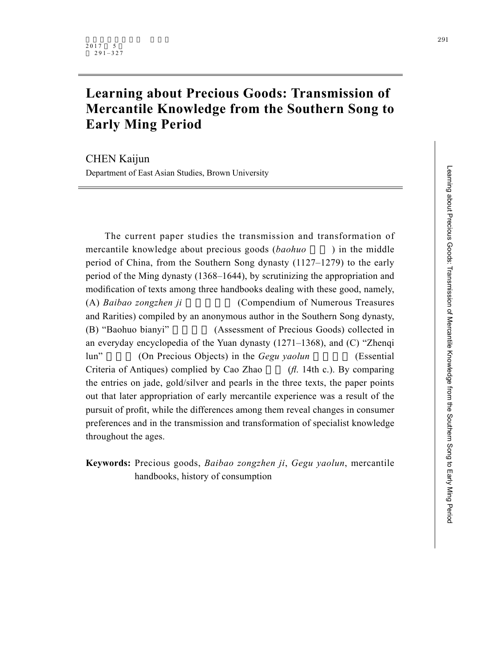# **Learning about Precious Goods: Transmission of Mercantile Knowledge from the Southern Song to Early Ming Period**

CHEN Kaijun Department of East Asian Studies, Brown University

The current paper studies the transmission and transformation of mercantile knowledge about precious goods (*baohuo*) in the middle period of China, from the Southern Song dynasty (1127–1279) to the early period of the Ming dynasty (1368–1644), by scrutinizing the appropriation and modification of texts among three handbooks dealing with these good, namely, (A) *Baibao zongzhen ji* (Compendium of Numerous Treasures and Rarities) compiled by an anonymous author in the Southern Song dynasty, (B) "Baohuo bianyi" (Assessment of Precious Goods) collected in an everyday encyclopedia of the Yuan dynasty (1271–1368), and (C) "Zhenqi lun" (On Precious Objects) in the *Gegu yaolun* (Essential Criteria of Antiques) complied by Cao Zhao  $(h. 14th c)$ . By comparing the entries on jade, gold/silver and pearls in the three texts, the paper points out that later appropriation of early mercantile experience was a result of the pursuit of profit, while the differences among them reveal changes in consumer preferences and in the transmission and transformation of specialist knowledge throughout the ages.

**Keywords:** Precious goods, *Baibao zongzhen ji*, *Gegu yaolun*, mercantile handbooks, history of consumption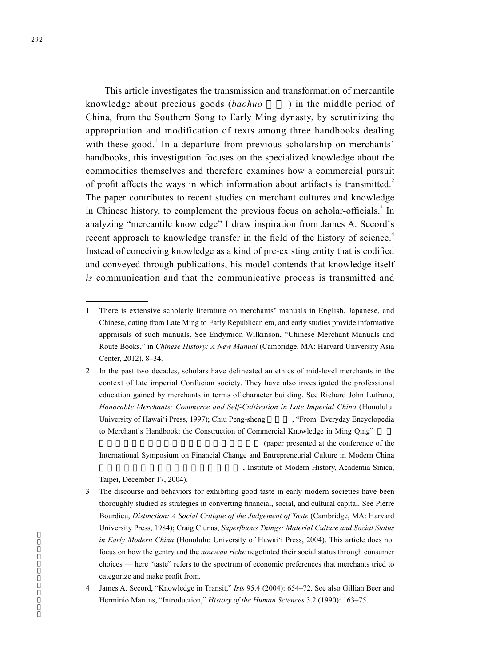This article investigates the transmission and transformation of mercantile knowledge about precious goods (*baohuo*) in the middle period of China, from the Southern Song to Early Ming dynasty, by scrutinizing the appropriation and modification of texts among three handbooks dealing with these good.<sup>1</sup> In a departure from previous scholarship on merchants' handbooks, this investigation focuses on the specialized knowledge about the commodities themselves and therefore examines how a commercial pursuit of profit affects the ways in which information about artifacts is transmitted.<sup>2</sup> The paper contributes to recent studies on merchant cultures and knowledge in Chinese history, to complement the previous focus on scholar-officials.<sup>3</sup> In analyzing "mercantile knowledge" I draw inspiration from James A. Secord's recent approach to knowledge transfer in the field of the history of science.<sup>4</sup> Instead of conceiving knowledge as a kind of pre-existing entity that is codified and conveyed through publications, his model contends that knowledge itself *is* communication and that the communicative process is transmitted and

(paper presented at the conference of the

International Symposium on Financial Change and Entrepreneurial Culture in Modern China , Institute of Modern History, Academia Sinica,

Taipei, December 17, 2004).

- 3 The discourse and behaviors for exhibiting good taste in early modern societies have been thoroughly studied as strategies in converting financial, social, and cultural capital. See Pierre Bourdieu, *Distinction: A Social Critique of the Judgement of Taste* (Cambridge, MA: Harvard University Press, 1984); Craig Clunas, *Superfluous Things: Material Culture and Social Status in Early Modern China* (Honolulu: University of Hawai'i Press, 2004). This article does not focus on how the gentry and the *nouveau riche* negotiated their social status through consumer choices — here "taste" refers to the spectrum of economic preferences that merchants tried to categorize and make profit from.
- 4 James A. Secord, "Knowledge in Transit," *Isis* 95.4 (2004): 654–72. See also Gillian Beer and Herminio Martins, "Introduction," *History of the Human Sciences* 3.2 (1990): 163–75.

<sup>1</sup> There is extensive scholarly literature on merchants' manuals in English, Japanese, and Chinese, dating from Late Ming to Early Republican era, and early studies provide informative appraisals of such manuals. See Endymion Wilkinson, "Chinese Merchant Manuals and Route Books," in *Chinese History: A New Manual* (Cambridge, MA: Harvard University Asia Center, 2012), 8–34.

<sup>2</sup> In the past two decades, scholars have delineated an ethics of mid-level merchants in the context of late imperial Confucian society. They have also investigated the professional education gained by merchants in terms of character building. See Richard John Lufrano, *Honorable Merchants: Commerce and Self-Cultivation in Late Imperial China* (Honolulu: University of Hawai'i Press, 1997); Chiu Peng-sheng , "From Everyday Encyclopedia to Merchant's Handbook: the Construction of Commercial Knowledge in Ming Qing"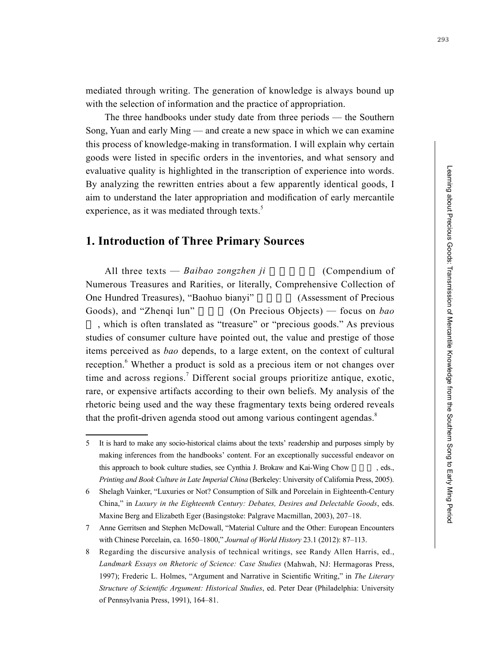293

mediated through writing. The generation of knowledge is always bound up with the selection of information and the practice of appropriation.

The three handbooks under study date from three periods — the Southern Song, Yuan and early Ming — and create a new space in which we can examine this process of knowledge-making in transformation. I will explain why certain goods were listed in specific orders in the inventories, and what sensory and evaluative quality is highlighted in the transcription of experience into words. By analyzing the rewritten entries about a few apparently identical goods, I aim to understand the later appropriation and modification of early mercantile experience, as it was mediated through texts.<sup>5</sup>

# **1. Introduction of Three Primary Sources**

All three texts — *Baibao zongzhen ji* (Compendium of Numerous Treasures and Rarities, or literally, Comprehensive Collection of One Hundred Treasures), "Baohuo bianyi" (Assessment of Precious Goods), and "Zhengi lun" (On Precious Objects) — focus on *bao* , which is often translated as "treasure" or "precious goods." As previous studies of consumer culture have pointed out, the value and prestige of those items perceived as *bao* depends, to a large extent, on the context of cultural reception.<sup>6</sup> Whether a product is sold as a precious item or not changes over time and across regions.<sup>7</sup> Different social groups prioritize antique, exotic, rare, or expensive artifacts according to their own beliefs. My analysis of the rhetoric being used and the way these fragmentary texts being ordered reveals that the profit-driven agenda stood out among various contingent agendas.<sup>8</sup>

<sup>5</sup> It is hard to make any socio-historical claims about the texts' readership and purposes simply by making inferences from the handbooks' content. For an exceptionally successful endeavor on this approach to book culture studies, see Cynthia J. Brokaw and Kai-Wing Chow seds., *Printing and Book Culture in Late Imperial China* (Berkeley: University of California Press, 2005).

<sup>6</sup> Shelagh Vainker, "Luxuries or Not? Consumption of Silk and Porcelain in Eighteenth-Century China," in *Luxury in the Eighteenth Century: Debates, Desires and Delectable Goods*, eds. Maxine Berg and Elizabeth Eger (Basingstoke: Palgrave Macmillan, 2003), 207–18.

<sup>7</sup> Anne Gerritsen and Stephen McDowall, "Material Culture and the Other: European Encounters with Chinese Porcelain, ca. 1650–1800," *Journal of World History* 23.1 (2012): 87–113.

<sup>8</sup> Regarding the discursive analysis of technical writings, see Randy Allen Harris, ed., *Landmark Essays on Rhetoric of Science: Case Studies* (Mahwah, NJ: Hermagoras Press, 1997); Frederic L. Holmes, "Argument and Narrative in Scientific Writing," in *The Literary Structure of Scientific Argument: Historical Studies*, ed. Peter Dear (Philadelphia: University of Pennsylvania Press, 1991), 164–81.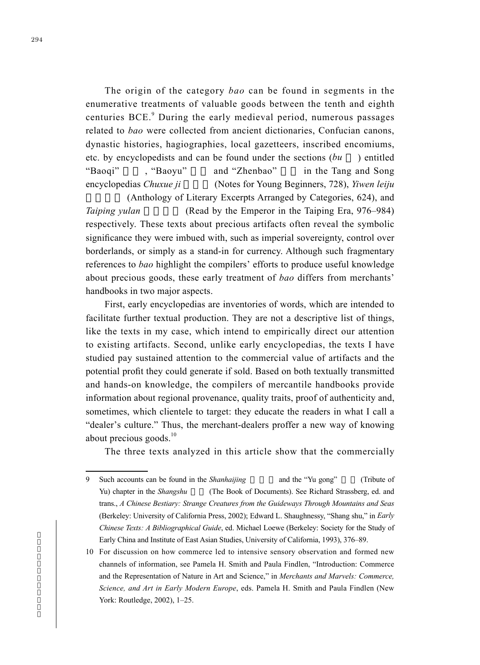The origin of the category *bao* can be found in segments in the enumerative treatments of valuable goods between the tenth and eighth centuries BCE.<sup>9</sup> During the early medieval period, numerous passages related to *bao* were collected from ancient dictionaries, Confucian canons, dynastic histories, hagiographies, local gazetteers, inscribed encomiums, etc. by encyclopedists and can be found under the sections (*bu* ) entitled "Baoqi", "Baoyu" and "Zhenbao" in the Tang and Song encyclopedias *Chuxue ji* (Notes for Young Beginners, 728), *Yiwen leiju* 

(Anthology of Literary Excerpts Arranged by Categories, 624), and *Taiping yulan* (Read by the Emperor in the Taiping Era, 976–984) respectively. These texts about precious artifacts often reveal the symbolic significance they were imbued with, such as imperial sovereignty, control over borderlands, or simply as a stand-in for currency. Although such fragmentary references to *bao* highlight the compilers' efforts to produce useful knowledge about precious goods, these early treatment of *bao* differs from merchants' handbooks in two major aspects.

First, early encyclopedias are inventories of words, which are intended to facilitate further textual production. They are not a descriptive list of things, like the texts in my case, which intend to empirically direct our attention to existing artifacts. Second, unlike early encyclopedias, the texts I have studied pay sustained attention to the commercial value of artifacts and the potential profit they could generate if sold. Based on both textually transmitted and hands-on knowledge, the compilers of mercantile handbooks provide information about regional provenance, quality traits, proof of authenticity and, sometimes, which clientele to target: they educate the readers in what I call a "dealer's culture." Thus, the merchant-dealers proffer a new way of knowing about precious goods.<sup>10</sup>

The three texts analyzed in this article show that the commercially

<sup>9</sup> Such accounts can be found in the *Shanhaijing* and the "Yu gong" (Tribute of Yu) chapter in the *Shangshu* (The Book of Documents). See Richard Strassberg, ed. and trans., *A Chinese Bestiary: Strange Creatures from the Guideways Through Mountains and Seas* (Berkeley: University of California Press, 2002); Edward L. Shaughnessy, "Shang shu," in *Early Chinese Texts: A Bibliographical Guide*, ed. Michael Loewe (Berkeley: Society for the Study of Early China and Institute of East Asian Studies, University of California, 1993), 376–89.

<sup>10</sup> For discussion on how commerce led to intensive sensory observation and formed new channels of information, see Pamela H. Smith and Paula Findlen, "Introduction: Commerce and the Representation of Nature in Art and Science," in *Merchants and Marvels: Commerce, Science, and Art in Early Modern Europe*, eds. Pamela H. Smith and Paula Findlen (New York: Routledge, 2002), 1–25.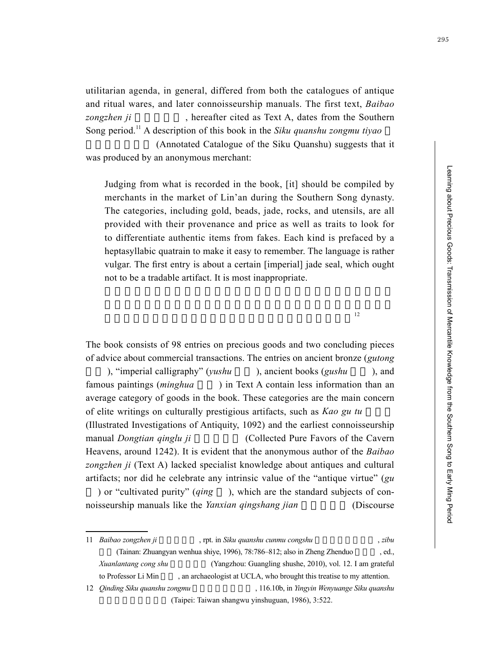utilitarian agenda, in general, differed from both the catalogues of antique and ritual wares, and later connoisseurship manuals. The first text, *Baibao zongzhen ji* , hereafter cited as Text A, dates from the Southern Song period.11 A description of this book in the *Siku quanshu zongmu tiyao*

(Annotated Catalogue of the Siku Quanshu) suggests that it was produced by an anonymous merchant:

Judging from what is recorded in the book, [it] should be compiled by merchants in the market of Lin'an during the Southern Song dynasty. The categories, including gold, beads, jade, rocks, and utensils, are all provided with their provenance and price as well as traits to look for to differentiate authentic items from fakes. Each kind is prefaced by a heptasyllabic quatrain to make it easy to remember. The language is rather vulgar. The first entry is about a certain [imperial] jade seal, which ought not to be a tradable artifact. It is most inappropriate.

 $12$ 

The book consists of 98 entries on precious goods and two concluding pieces of advice about commercial transactions. The entries on ancient bronze (*gutong*

), "imperial calligraphy" (*yushu* ), ancient books (*gushu* ), and famous paintings *(minghua* ) in Text A contain less information than an average category of goods in the book. These categories are the main concern of elite writings on culturally prestigious artifacts, such as *Kao gu tu* (Illustrated Investigations of Antiquity, 1092) and the earliest connoisseurship manual *Dongtian qinglu ji* (Collected Pure Favors of the Cavern Heavens, around 1242). It is evident that the anonymous author of the *Baibao zongzhen ji* (Text A) lacked specialist knowledge about antiques and cultural artifacts; nor did he celebrate any intrinsic value of the "antique virtue" (*gu*

) or "cultivated purity" (*qing* ), which are the standard subjects of connoisseurship manuals like the *Yanxian qingshang jian* (Discourse

<sup>11</sup> *Baibao zongzhen ji* , rpt. in *Siku quanshu cunmu congshu* , *zibu* , *zibu* (Tainan: Zhuangyan wenhua shiye, 1996), 78:786–812; also in Zheng Zhenduo, ed., *Xuanlantang cong shu* (Yangzhou: Guangling shushe, 2010), vol. 12. I am grateful to Professor Li Min an archaeologist at UCLA, who brought this treatise to my attention. 12 *Qinding Siku quanshu zongmu* (116.10b, in *Yingyin Wenyuange Siku quanshu* (Taipei: Taiwan shangwu yinshuguan, 1986), 3:522.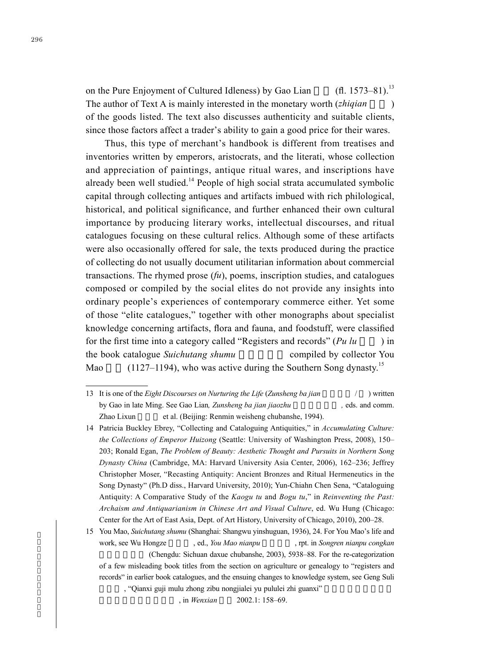on the Pure Enjoyment of Cultured Idleness) by Gao Lian  $(H. 1573-81).$ <sup>13</sup> The author of Text A is mainly interested in the monetary worth (*zhiqian* ) of the goods listed. The text also discusses authenticity and suitable clients, since those factors affect a trader's ability to gain a good price for their wares.

Thus, this type of merchant's handbook is different from treatises and inventories written by emperors, aristocrats, and the literati, whose collection and appreciation of paintings, antique ritual wares, and inscriptions have already been well studied.<sup>14</sup> People of high social strata accumulated symbolic capital through collecting antiques and artifacts imbued with rich philological, historical, and political significance, and further enhanced their own cultural importance by producing literary works, intellectual discourses, and ritual catalogues focusing on these cultural relics. Although some of these artifacts were also occasionally offered for sale, the texts produced during the practice of collecting do not usually document utilitarian information about commercial transactions. The rhymed prose (*fu*), poems, inscription studies, and catalogues composed or compiled by the social elites do not provide any insights into ordinary people's experiences of contemporary commerce either. Yet some of those "elite catalogues," together with other monographs about specialist knowledge concerning artifacts, flora and fauna, and foodstuff, were classified for the first time into a category called "Registers and records" (*Pu lu* ) in the book catalogue *Suichutang shumu* compiled by collector You Mao  $(1127-1194)$ , who was active during the Southern Song dynasty.<sup>15</sup>

15 You Mao, *Suichutang shumu* (Shanghai: Shangwu yinshuguan, 1936), 24. For You Mao's life and work, see Wu Hongze , ed., *You Mao nianpu* , rpt. in *Songren nianpu congkan* (Chengdu: Sichuan daxue chubanshe, 2003), 5938–88. For the re-categorization of a few misleading book titles from the section on agriculture or genealogy to "registers and records" in earlier book catalogues, and the ensuing changes to knowledge system, see Geng Suli , "Qianxi guji mulu zhong zibu nongjialei yu pululei zhi guanxi"

<sup>13</sup> It is one of the *Eight Discourses on Nurturing the Life (Zunsheng ba jian*  $\frac{1}{2}$ ) written by Gao in late Ming. See Gao Lian, *Zunsheng ba jian jiaozhu* , eds. and comm. Zhao Lixun et al. (Beijing: Renmin weisheng chubanshe, 1994).

<sup>14</sup> Patricia Buckley Ebrey, "Collecting and Cataloguing Antiquities," in *Accumulating Culture: the Collections of Emperor Huizong* (Seattle: University of Washington Press, 2008), 150– 203; Ronald Egan, *The Problem of Beauty: Aesthetic Thought and Pursuits in Northern Song Dynasty China* (Cambridge, MA: Harvard University Asia Center, 2006), 162–236; Jeffrey Christopher Moser, "Recasting Antiquity: Ancient Bronzes and Ritual Hermeneutics in the Song Dynasty" (Ph.D diss., Harvard University, 2010); Yun-Chiahn Chen Sena, "Cataloguing Antiquity: A Comparative Study of the *Kaogu tu* and *Bogu tu*," in *Reinventing the Past: Archaism and Antiquarianism in Chinese Art and Visual Culture*, ed. Wu Hung (Chicago: Center for the Art of East Asia, Dept. of Art History, University of Chicago, 2010), 200–28.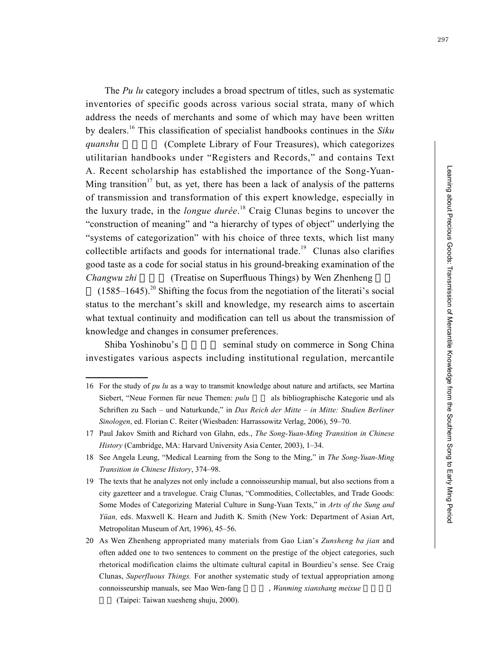The *Pu lu* category includes a broad spectrum of titles, such as systematic inventories of specific goods across various social strata, many of which address the needs of merchants and some of which may have been written by dealers.<sup>16</sup> This classification of specialist handbooks continues in the *Siku quanshu* (Complete Library of Four Treasures), which categorizes utilitarian handbooks under "Registers and Records," and contains Text A. Recent scholarship has established the importance of the Song-Yuan-Ming transition<sup>17</sup> but, as yet, there has been a lack of analysis of the patterns of transmission and transformation of this expert knowledge, especially in the luxury trade, in the *longue durée*. 18 Craig Clunas begins to uncover the "construction of meaning" and "a hierarchy of types of object" underlying the "systems of categorization" with his choice of three texts, which list many collectible artifacts and goods for international trade.<sup>19</sup> Clunas also clarifies good taste as a code for social status in his ground-breaking examination of the *Changwu zhi* (Treatise on Superfluous Things) by Wen Zhenheng

 $(1585-1645)$ <sup>20</sup> Shifting the focus from the negotiation of the literati's social status to the merchant's skill and knowledge, my research aims to ascertain what textual continuity and modification can tell us about the transmission of knowledge and changes in consumer preferences.

Shiba Yoshinobu's seminal study on commerce in Song China investigates various aspects including institutional regulation, mercantile

<sup>16</sup> For the study of *pu lu* as a way to transmit knowledge about nature and artifacts, see Martina Siebert, "Neue Formen für neue Themen: *pulu* als bibliographische Kategorie und als Schriften zu Sach – und Naturkunde," in *Das Reich der Mitte – in Mitte: Studien Berliner Sinologen*, ed. Florian C. Reiter (Wiesbaden: Harrassowitz Verlag, 2006), 59–70.

<sup>17</sup> Paul Jakov Smith and Richard von Glahn, eds., *The Song-Yuan-Ming Transition in Chinese History* (Cambridge, MA: Harvard University Asia Center, 2003), 1–34.

<sup>18</sup> See Angela Leung, "Medical Learning from the Song to the Ming," in *The Song-Yuan-Ming Transition in Chinese History*, 374–98.

<sup>19</sup> The texts that he analyzes not only include a connoisseurship manual, but also sections from a city gazetteer and a travelogue. Craig Clunas, "Commodities, Collectables, and Trade Goods: Some Modes of Categorizing Material Culture in Sung-Yuan Texts," in *Arts of the Sung and Yüan,* eds. Maxwell K. Hearn and Judith K. Smith (New York: Department of Asian Art, Metropolitan Museum of Art, 1996), 45–56.

<sup>20</sup> As Wen Zhenheng appropriated many materials from Gao Lian's *Zunsheng ba jian* and often added one to two sentences to comment on the prestige of the object categories, such rhetorical modification claims the ultimate cultural capital in Bourdieu's sense. See Craig Clunas, *Superfluous Things.* For another systematic study of textual appropriation among connoisseurship manuals, see Mao Wen-fang *Wanming xianshang meixue* 

<sup>(</sup>Taipei: Taiwan xuesheng shuju, 2000).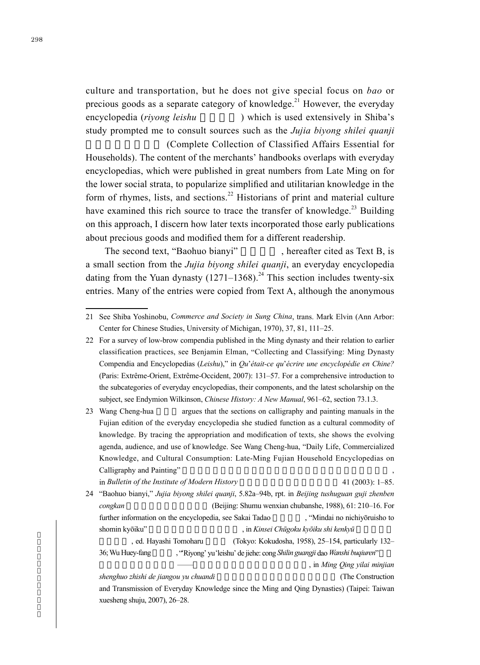culture and transportation, but he does not give special focus on *bao* or precious goods as a separate category of knowledge.<sup>21</sup> However, the everyday encyclopedia (*rivong leishu* ) which is used extensively in Shiba's study prompted me to consult sources such as the *Jujia biyong shilei quanji* (Complete Collection of Classified Affairs Essential for

Households). The content of the merchants' handbooks overlaps with everyday encyclopedias, which were published in great numbers from Late Ming on for the lower social strata, to popularize simplified and utilitarian knowledge in the form of rhymes, lists, and sections.<sup>22</sup> Historians of print and material culture have examined this rich source to trace the transfer of knowledge.<sup>23</sup> Building on this approach, I discern how later texts incorporated those early publications about precious goods and modified them for a different readership.

The second text, "Baohuo bianyi", hereafter cited as Text B, is a small section from the *Jujia biyong shilei quanji*, an everyday encyclopedia dating from the Yuan dynasty  $(1271-1368)^{24}$  This section includes twenty-six entries. Many of the entries were copied from Text A, although the anonymous

23 Wang Cheng-hua argues that the sections on calligraphy and painting manuals in the Fujian edition of the everyday encyclopedia she studied function as a cultural commodity of knowledge. By tracing the appropriation and modification of texts, she shows the evolving agenda, audience, and use of knowledge. See Wang Cheng-hua, "Daily Life, Commercialized Knowledge, and Cultural Consumption: Late-Ming Fujian Household Encyclopedias on Calligraphy and Painting"

```
in Bulletin of the Institute of Modern History 41 (2003): 1–85.
24 "Baohuo bianyi," Jujia biyong shilei quanji, 5.82a–94b, rpt. in Beijing tushuguan guji zhenben 
   congkan (Beijing: Shumu wenxian chubanshe, 1988), 61: 210–16. For
   further information on the encyclopedia, see Sakai Tadao , "Mindai no nichiyōruisho to
   shomin kyōiku" 明代日用類書庶民教育 , in Kinsei Chūgoku kyōiku shi kenkyū 近世中國教
            ed. Hayashi Tomoharu (Tokyo: Kokudosha, 1958), 25–154, particularly 132–
```
36; Wu Huey-fang 吳蕙芳, "'Riyong' yu 'leishu' de jiehe: cong *Shilin guangji* dao *Wanshi buqiuren*"

, in *Ming Qing yilai minjian* 

*shenghuo zhishi de jiangou yu chuandi*  $(The Construction)$ 

and Transmission of Everyday Knowledge since the Ming and Qing Dynasties) (Taipei: Taiwan xuesheng shuju, 2007), 26–28.

<sup>21</sup> See Shiba Yoshinobu, *Commerce and Society in Sung China*, trans. Mark Elvin (Ann Arbor: Center for Chinese Studies, University of Michigan, 1970), 37, 81, 111–25.

<sup>22</sup> For a survey of low-brow compendia published in the Ming dynasty and their relation to earlier classification practices, see Benjamin Elman, "Collecting and Classifying: Ming Dynasty Compendia and Encyclopedias (*Leishu*)," in *Qu*'*était-ce qu*'*écrire une encyclopédie en Chine?* (Paris: Extrême-Orient, Extrême-Occident, 2007): 131–57. For a comprehensive introduction to the subcategories of everyday encyclopedias, their components, and the latest scholarship on the subject, see Endymion Wilkinson, *Chinese History: A New Manual*, 961–62, section 73.1.3.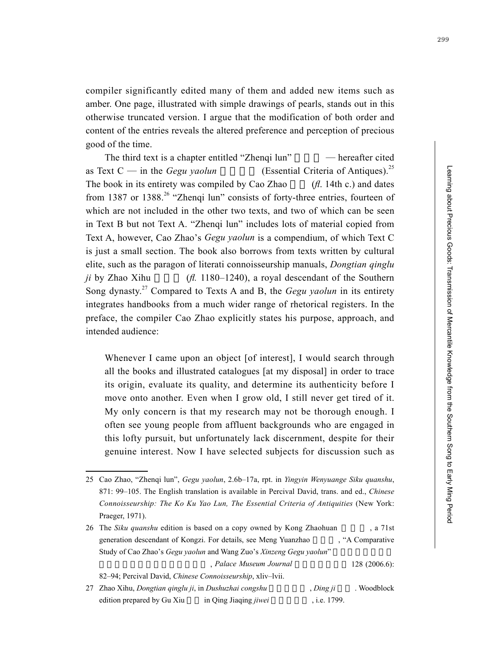compiler significantly edited many of them and added new items such as amber. One page, illustrated with simple drawings of pearls, stands out in this otherwise truncated version. I argue that the modification of both order and content of the entries reveals the altered preference and perception of precious good of the time.

The third text is a chapter entitled "Zhenqi lun"  $-$  hereafter cited as Text  $C$  — in the *Gegu yaolun* (Essential Criteria of Antiques).<sup>25</sup> The book in its entirety was compiled by Cao Zhao  $(h. 14th c.)$  and dates from 1387 or 1388.<sup>26</sup> "Zhenqi lun" consists of forty-three entries, fourteen of which are not included in the other two texts, and two of which can be seen in Text B but not Text A. "Zhenqi lun" includes lots of material copied from Text A, however, Cao Zhao's *Gegu yaolun* is a compendium, of which Text C is just a small section. The book also borrows from texts written by cultural elite, such as the paragon of literati connoisseurship manuals, *Dongtian qinglu ji* by Zhao Xihu  $(H. 1180-1240)$ , a royal descendant of the Southern Song dynasty.27 Compared to Texts A and B, the *Gegu yaolun* in its entirety integrates handbooks from a much wider range of rhetorical registers. In the preface, the compiler Cao Zhao explicitly states his purpose, approach, and intended audience:

Whenever I came upon an object [of interest], I would search through all the books and illustrated catalogues [at my disposal] in order to trace its origin, evaluate its quality, and determine its authenticity before I move onto another. Even when I grow old, I still never get tired of it. My only concern is that my research may not be thorough enough. I often see young people from affluent backgrounds who are engaged in this lofty pursuit, but unfortunately lack discernment, despite for their genuine interest. Now I have selected subjects for discussion such as

26 The *Siku quanshu* edition is based on a copy owned by Kong Zhaohuan , a 71st generation descendant of Kongzi. For details, see Meng Yuanzhao , "A Comparative Study of Cao Zhao's *Gegu yaolun* and Wang Zuo's *Xinzeng Gegu yaolun*" palace Museum Journal 128 (2006.6): 82–94; Percival David, *Chinese Connoisseurship*, xliv–lvii. 27 Zhao Xihu, *Dongtian qinglu ji*, in *Dushuzhai congshu* , *Ding ji* . Woodblock edition prepared by Gu Xiu in Qing Jiaqing *jiwei* , i.e. 1799.

<sup>25</sup> Cao Zhao, "Zhenqi lun", *Gegu yaolun*, 2.6b–17a, rpt. in *Yingyin Wenyuange Siku quanshu*, 871: 99–105. The English translation is available in Percival David, trans. and ed., *Chinese Connoisseurship: The Ko Ku Yao Lun, The Essential Criteria of Antiquities* (New York: Praeger, 1971).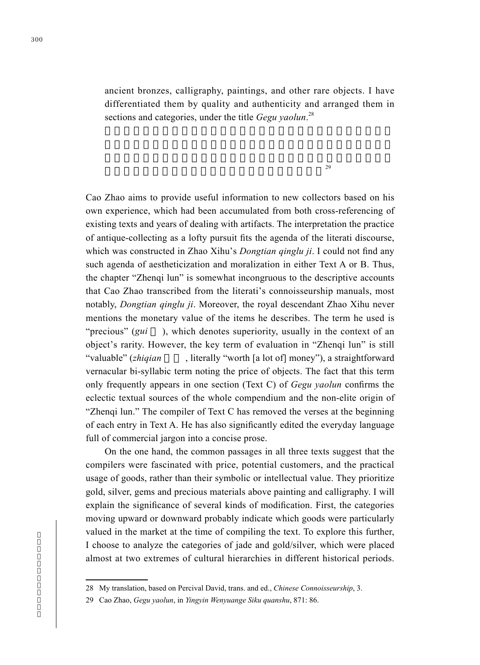ancient bronzes, calligraphy, paintings, and other rare objects. I have differentiated them by quality and authenticity and arranged them in sections and categories, under the title *Gegu yaolun*. 28

 $29$ 

Cao Zhao aims to provide useful information to new collectors based on his own experience, which had been accumulated from both cross-referencing of existing texts and years of dealing with artifacts. The interpretation the practice of antique-collecting as a lofty pursuit fits the agenda of the literati discourse, which was constructed in Zhao Xihu's *Dongtian qinglu ji*. I could not find any such agenda of aestheticization and moralization in either Text A or B. Thus, the chapter "Zhenqi lun" is somewhat incongruous to the descriptive accounts that Cao Zhao transcribed from the literati's connoisseurship manuals, most notably, *Dongtian qinglu ji*. Moreover, the royal descendant Zhao Xihu never mentions the monetary value of the items he describes. The term he used is "precious" (*gui* ), which denotes superiority, usually in the context of an object's rarity. However, the key term of evaluation in "Zhenqi lun" is still "valuable" (*zhiqian* , literally "worth [a lot of] money"), a straightforward vernacular bi-syllabic term noting the price of objects. The fact that this term only frequently appears in one section (Text C) of *Gegu yaolun* confirms the eclectic textual sources of the whole compendium and the non-elite origin of "Zhenqi lun." The compiler of Text C has removed the verses at the beginning of each entry in Text A. He has also significantly edited the everyday language full of commercial jargon into a concise prose.

On the one hand, the common passages in all three texts suggest that the compilers were fascinated with price, potential customers, and the practical usage of goods, rather than their symbolic or intellectual value. They prioritize gold, silver, gems and precious materials above painting and calligraphy. I will explain the significance of several kinds of modification. First, the categories moving upward or downward probably indicate which goods were particularly valued in the market at the time of compiling the text. To explore this further, I choose to analyze the categories of jade and gold/silver, which were placed almost at two extremes of cultural hierarchies in different historical periods.

<sup>28</sup> My translation, based on Percival David, trans. and ed., *Chinese Connoisseurship*, 3.

<sup>29</sup> Cao Zhao, *Gegu yaolun*, in *Yingyin Wenyuange Siku quanshu*, 871: 86.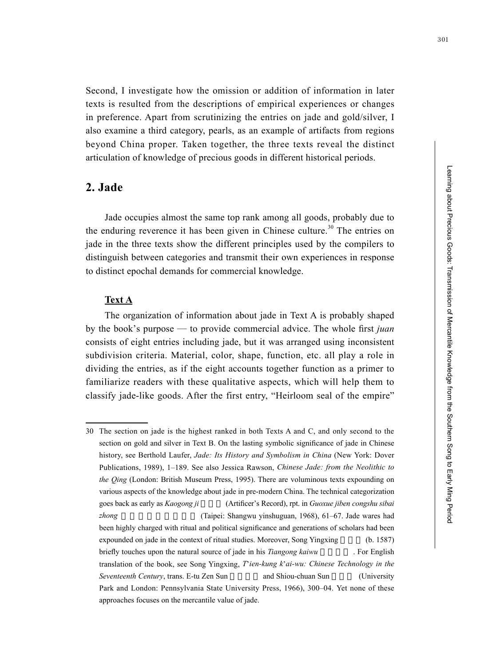Second, I investigate how the omission or addition of information in later texts is resulted from the descriptions of empirical experiences or changes in preference. Apart from scrutinizing the entries on jade and gold/silver, I also examine a third category, pearls, as an example of artifacts from regions beyond China proper. Taken together, the three texts reveal the distinct articulation of knowledge of precious goods in different historical periods.

# **2. Jade**

Jade occupies almost the same top rank among all goods, probably due to the enduring reverence it has been given in Chinese culture.<sup>30</sup> The entries on jade in the three texts show the different principles used by the compilers to distinguish between categories and transmit their own experiences in response to distinct epochal demands for commercial knowledge.

#### **Text A**

The organization of information about jade in Text A is probably shaped by the book's purpose — to provide commercial advice. The whole first *juan* consists of eight entries including jade, but it was arranged using inconsistent subdivision criteria. Material, color, shape, function, etc. all play a role in dividing the entries, as if the eight accounts together function as a primer to familiarize readers with these qualitative aspects, which will help them to classify jade-like goods. After the first entry, "Heirloom seal of the empire"

<sup>30</sup> The section on jade is the highest ranked in both Texts A and C, and only second to the section on gold and silver in Text B. On the lasting symbolic significance of jade in Chinese history, see Berthold Laufer, *Jade: Its History and Symbolism in China* (New York: Dover Publications, 1989), 1–189. See also Jessica Rawson, *Chinese Jade: from the Neolithic to the Qing* (London: British Museum Press, 1995). There are voluminous texts expounding on various aspects of the knowledge about jade in pre-modern China. The technical categorization goes back as early as *Kaogong ji* (Artificer's Record), rpt. in *Guoxue jiben congshu sibai zhong* (Taipei: Shangwu yinshuguan, 1968), 61–67. Jade wares had been highly charged with ritual and political significance and generations of scholars had been expounded on jade in the context of ritual studies. Moreover, Song Yingxing (b. 1587) briefly touches upon the natural source of jade in his *Tiangong kaiwu* . For English translation of the book, see Song Yingxing, *T*'*ien-kung k*'*ai-wu: Chinese Technology in the Seventeenth Century*, trans. E-tu Zen Sun and Shiou-chuan Sun (University Park and London: Pennsylvania State University Press, 1966), 300–04. Yet none of these approaches focuses on the mercantile value of jade.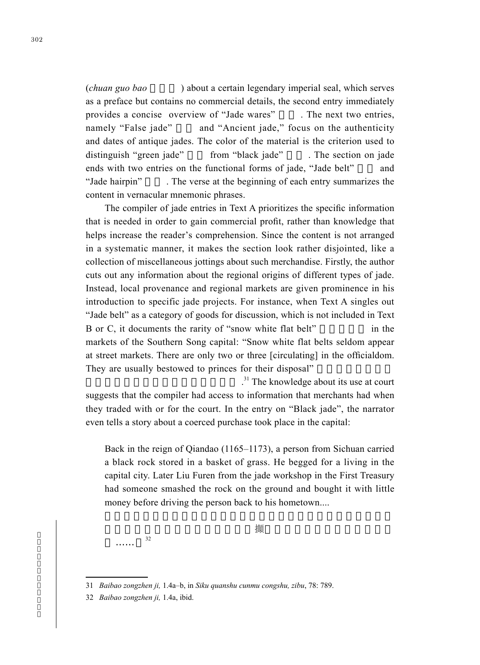(*chuan guo bao* ) about a certain legendary imperial seal, which serves as a preface but contains no commercial details, the second entry immediately provides a concise overview of "Jade wares" The next two entries, namely "False jade" and "Ancient jade," focus on the authenticity and dates of antique jades. The color of the material is the criterion used to distinguish "green jade" from "black jade" . The section on jade ends with two entries on the functional forms of jade, "Jade belt" and "Jade hairpin" The verse at the beginning of each entry summarizes the content in vernacular mnemonic phrases.

The compiler of jade entries in Text A prioritizes the specific information that is needed in order to gain commercial profit, rather than knowledge that helps increase the reader's comprehension. Since the content is not arranged in a systematic manner, it makes the section look rather disjointed, like a collection of miscellaneous jottings about such merchandise. Firstly, the author cuts out any information about the regional origins of different types of jade. Instead, local provenance and regional markets are given prominence in his introduction to specific jade projects. For instance, when Text A singles out "Jade belt" as a category of goods for discussion, which is not included in Text B or C, it documents the rarity of "snow white flat belt" in the markets of the Southern Song capital: "Snow white flat belts seldom appear at street markets. There are only two or three [circulating] in the officialdom. They are usually bestowed to princes for their disposal"

有,官中止有兩三條,多賜與親王使 .  $^{31}$  The knowledge about its use at court suggests that the compiler had access to information that merchants had when they traded with or for the court. In the entry on "Black jade", the narrator even tells a story about a coerced purchase took place in the capital:

Back in the reign of Qiandao (1165–1173), a person from Sichuan carried a black rock stored in a basket of grass. He begged for a living in the capital city. Later Liu Furen from the jade workshop in the First Treasury had someone smashed the rock on the ground and bought it with little money before driving the person back to his hometown....

後被甲庫玉作劉夫人令人擲石于地攧碎,用錢些小收之,令此人歸

鄉……。<sup>32</sup>

<sup>31</sup> *Baibao zongzhen ji,* 1.4a–b, in *Siku quanshu cunmu congshu, zibu*, 78: 789.

<sup>32</sup> *Baibao zongzhen ji,* 1.4a, ibid.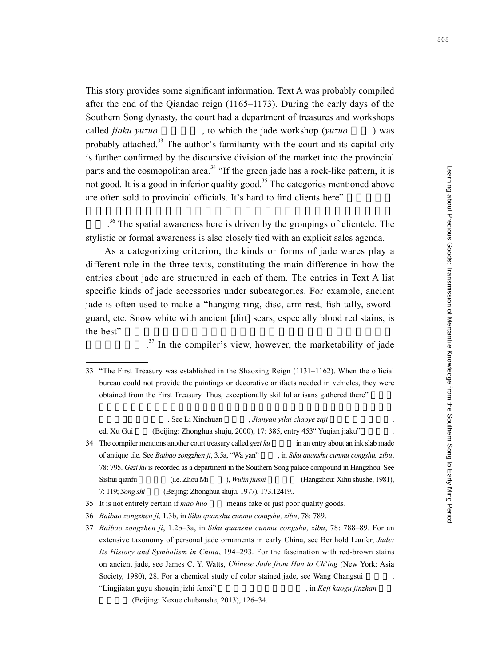This story provides some significant information. Text A was probably compiled after the end of the Qiandao reign (1165–1173). During the early days of the Southern Song dynasty, the court had a department of treasures and workshops called *jiaku yuzuo* , to which the jade workshop (*yuzuo* ) was probably attached.<sup>33</sup> The author's familiarity with the court and its capital city is further confirmed by the discursive division of the market into the provincial parts and the cosmopolitan area.<sup>34</sup> "If the green jade has a rock-like pattern, it is not good. It is a good in inferior quality good.<sup>35</sup> The categories mentioned above are often sold to provincial officials. It's hard to find clients here"

 $36$ . The spatial awareness here is driven by the groupings of clientele. The stylistic or formal awareness is also closely tied with an explicit sales agenda.

As a categorizing criterion, the kinds or forms of jade wares play a different role in the three texts, constituting the main difference in how the entries about jade are structured in each of them. The entries in Text A list specific kinds of jade accessories under subcategories. For example, ancient jade is often used to make a "hanging ring, disc, arm rest, fish tally, swordguard, etc. Snow white with ancient [dirt] scars, especially blood red stains, is  $\mathbf{t}$  he best"  $\mathbf{t}$ 

 $\mathcal{L}_{\mathcal{A}}$  $37$  In the compiler's view, however, the marketability of jade

. See Li Xinchuan , *Jianyan yilai chaoye zaji assembly*.

ed. Xu Gui (Beijing: Zhonghua shuju, 2000), 17: 385, entry 453 " Yuqian jiaku"

34 The compiler mentions another court treasury called *gezi ku* in an entry about an ink slab made of antique tile. See *Baibao zongzhen ji*, 3.5a, "Wa yan", in *Siku quanshu cunmu congshu, zibu*, 78: 795. *Gezi ku* is recorded as a department in the Southern Song palace compound in Hangzhou. See Sishui qianfu (i.e. Zhou Mi ), *Wulin jiushi* (Hangzhou: Xihu shushe, 1981), 7: 119; *Song shi* (Beijing: Zhonghua shuju, 1977), 173.12419...

37 *Baibao zongzhen ji*, 1.2b–3a, in *Siku quanshu cunmu congshu, zibu*, 78: 788–89. For an extensive taxonomy of personal jade ornaments in early China, see Berthold Laufer, *Jade: Its History and Symbolism in China*, 194–293. For the fascination with red-brown stains on ancient jade, see James C. Y. Watts, *Chinese Jade from Han to Ch*'*ing* (New York: Asia Society, 1980), 28. For a chemical study of color stained jade, see Wang Changsui "Lingjiatan guyu shouqin jizhi fenxi" , in *Keji kaogu jinzhan* 

 $(Beijing: Kexue$  chubanshe, 2013), 126–34.

<sup>33</sup> "The First Treasury was established in the Shaoxing Reign (1131–1162). When the official bureau could not provide the paintings or decorative artifacts needed in vehicles, they were obtained from the First Treasury. Thus, exceptionally skillful artisans gathered there"

<sup>35</sup> It is not entirely certain if *mao huo* means fake or just poor quality goods.

<sup>36</sup> *Baibao zongzhen ji,* 1.3b, in *Siku quanshu cunmu congshu, zibu*, 78: 789.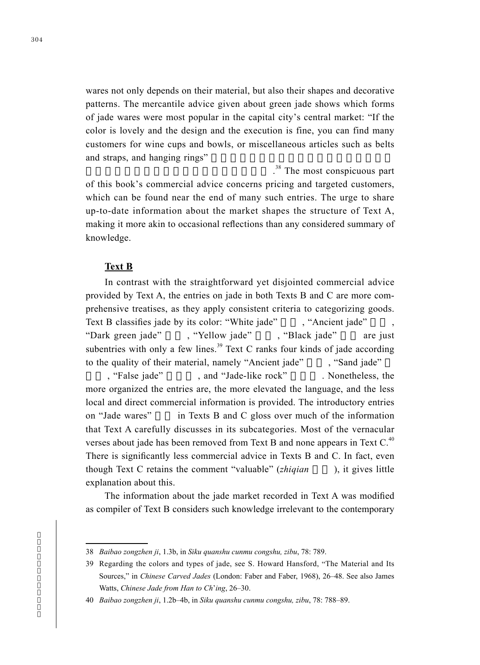wares not only depends on their material, but also their shapes and decorative patterns. The mercantile advice given about green jade shows which forms of jade wares were most popular in the capital city's central market: "If the color is lovely and the design and the execution is fine, you can find many customers for wine cups and bowls, or miscellaneous articles such as belts and straps, and hanging rings"

 $\mathcal{M}(\mathcal{M})$  , we are the set . The set of . <sup>38</sup>. The most conspicuous part of this book's commercial advice concerns pricing and targeted customers, which can be found near the end of many such entries. The urge to share up-to-date information about the market shapes the structure of Text A, making it more akin to occasional reflections than any considered summary of knowledge.

#### **Text B**

In contrast with the straightforward yet disjointed commercial advice provided by Text A, the entries on jade in both Texts B and C are more comprehensive treatises, as they apply consistent criteria to categorizing goods. Text B classifies jade by its color: "White jade" , "Ancient jade" "Dark green jade" , "Yellow jade" , "Black jade" are just subentries with only a few lines.<sup>39</sup> Text C ranks four kinds of jade according to the quality of their material, namely "Ancient jade", "Sand jade" , "False jade" and "Jade-like rock" . Nonetheless, the more organized the entries are, the more elevated the language, and the less local and direct commercial information is provided. The introductory entries on "Jade wares" in Texts B and C gloss over much of the information that Text A carefully discusses in its subcategories. Most of the vernacular verses about jade has been removed from Text B and none appears in Text  $C<sup>40</sup>$ There is significantly less commercial advice in Texts B and C. In fact, even though Text C retains the comment "valuable" (*zhiqian* ), it gives little explanation about this.

The information about the jade market recorded in Text A was modified as compiler of Text B considers such knowledge irrelevant to the contemporary

<sup>38</sup> *Baibao zongzhen ji*, 1.3b, in *Siku quanshu cunmu congshu, zibu*, 78: 789.

<sup>39</sup> Regarding the colors and types of jade, see S. Howard Hansford, "The Material and Its Sources," in *Chinese Carved Jades* (London: Faber and Faber, 1968), 26–48. See also James Watts, *Chinese Jade from Han to Ch*'*ing*, 26–30.

<sup>40</sup> *Baibao zongzhen ji*, 1.2b–4b, in *Siku quanshu cunmu congshu, zibu*, 78: 788–89.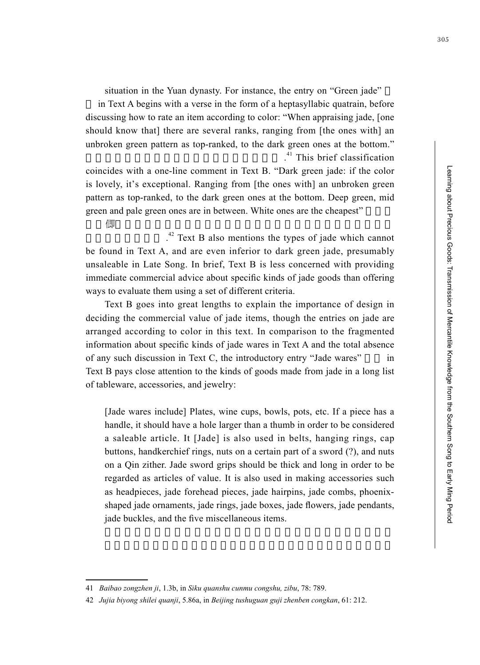situation in the Yuan dynasty. For instance, the entry on "Green jade"

 in Text A begins with a verse in the form of a heptasyllabic quatrain, before discussing how to rate an item according to color: "When appraising jade, [one should know that] there are several ranks, ranging from [the ones with] an unbroken green pattern as top-ranked, to the dark green ones at the bottom." 凡看玉亦有數等,上至不斷青,下至碧綠色 . <sup>41</sup> This brief classification

coincides with a one-line comment in Text B. "Dark green jade: if the color is lovely, it's exceptional. Ranging from [the ones with] an unbroken green pattern as top-ranked, to the dark green ones at the bottom. Deep green, mid green and pale green ones are in between. White ones are the cheapest"

顏色 伶絕品。上至不斷青,下至碧綠色。深綠色、青色、菜色分

 $\mathcal{L}_{\mathcal{A}}$  $^{42}$  Text B also mentions the types of jade which cannot be found in Text A, and are even inferior to dark green jade, presumably unsaleable in Late Song. In brief, Text B is less concerned with providing immediate commercial advice about specific kinds of jade goods than offering ways to evaluate them using a set of different criteria.

Text B goes into great lengths to explain the importance of design in deciding the commercial value of jade items, though the entries on jade are arranged according to color in this text. In comparison to the fragmented information about specific kinds of jade wares in Text A and the total absence of any such discussion in Text C, the introductory entry "Jade wares" in Text B pays close attention to the kinds of goods made from jade in a long list of tableware, accessories, and jewelry:

[Jade wares include] Plates, wine cups, bowls, pots, etc. If a piece has a handle, it should have a hole larger than a thumb in order to be considered a saleable article. It [Jade] is also used in belts, hanging rings, cap buttons, handkerchief rings, nuts on a certain part of a sword (?), and nuts on a Qin zither. Jade sword grips should be thick and long in order to be regarded as articles of value. It is also used in making accessories such as headpieces, jade forehead pieces, jade hairpins, jade combs, phoenixshaped jade ornaments, jade rings, jade boxes, jade flowers, jade pendants, jade buckles, and the five miscellaneous items.

<sup>41</sup> *Baibao zongzhen ji*, 1.3b, in *Siku quanshu cunmu congshu, zibu*, 78: 789.

<sup>42</sup> *Jujia biyong shilei quanji*, 5.86a, in *Beijing tushuguan guji zhenben congkan*, 61: 212.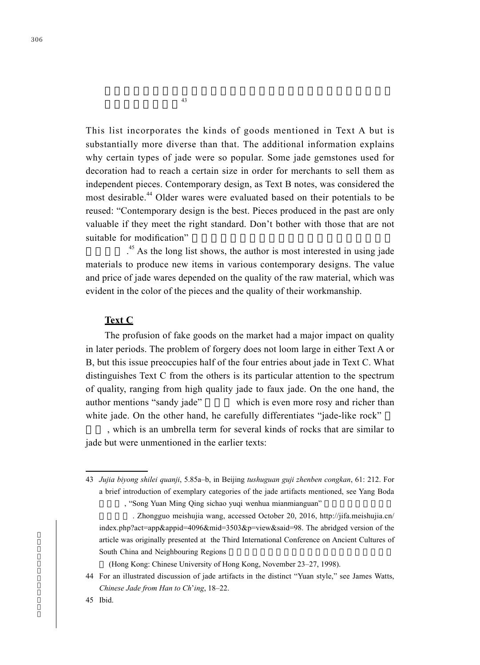This list incorporates the kinds of goods mentioned in Text A but is substantially more diverse than that. The additional information explains why certain types of jade were so popular. Some jade gemstones used for decoration had to reach a certain size in order for merchants to sell them as independent pieces. Contemporary design, as Text B notes, was considered the most desirable.<sup>44</sup> Older wares were evaluated based on their potentials to be reused: "Contemporary design is the best. Pieces produced in the past are only valuable if they meet the right standard. Don't bother with those that are not suitable for modification"

 $\mathcal{L}_{\mathcal{A}}$  $45$  As the long list shows, the author is most interested in using jade materials to produce new items in various contemporary designs. The value and price of jade wares depended on the quality of the raw material, which was evident in the color of the pieces and the quality of their workmanship.

### **Text C**

The profusion of fake goods on the market had a major impact on quality in later periods. The problem of forgery does not loom large in either Text A or B, but this issue preoccupies half of the four entries about jade in Text C. What distinguishes Text C from the others is its particular attention to the spectrum of quality, ranging from high quality jade to faux jade. On the one hand, the author mentions "sandy jade" which is even more rosy and richer than white jade. On the other hand, he carefully differentiates "jade-like rock"

, which is an umbrella term for several kinds of rocks that are similar to jade but were unmentioned in the earlier texts:

(Hong Kong: Chinese University of Hong Kong, November 23–27, 1998).

 $43$ 

<sup>43</sup> *Jujia biyong shilei quanji*, 5.85a–b, in Beijing *tushuguan guji zhenben congkan*, 61: 212. For a brief introduction of exemplary categories of the jade artifacts mentioned, see Yang Boda , "Song Yuan Ming Qing sichao yuqi wenhua mianmianguan"

<sup>.</sup> Zhongguo meishujia wang, accessed October 20, 2016, http://jifa.meishujia.cn/ index.php?act=app&appid=4096&mid=3503&p=view&said=98. The abridged version of the article was originally presented at the Third International Conference on Ancient Cultures of South China and Neighbouring Regions

<sup>44</sup> For an illustrated discussion of jade artifacts in the distinct "Yuan style," see James Watts, *Chinese Jade from Han to Ch*'*ing*, 18–22.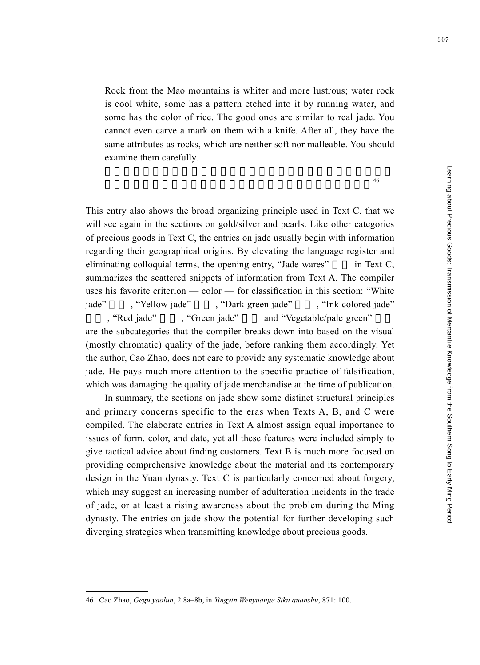Rock from the Mao mountains is whiter and more lustrous; water rock is cool white, some has a pattern etched into it by running water, and some has the color of rice. The good ones are similar to real jade. You cannot even carve a mark on them with a knife. After all, they have the same attributes as rocks, which are neither soft nor malleable. You should examine them carefully.

 $46$ 

This entry also shows the broad organizing principle used in Text C, that we will see again in the sections on gold/silver and pearls. Like other categories of precious goods in Text C, the entries on jade usually begin with information regarding their geographical origins. By elevating the language register and eliminating colloquial terms, the opening entry, "Jade wares"  $\cdot$  in Text C, summarizes the scattered snippets of information from Text A. The compiler uses his favorite criterion — color — for classification in this section: "White jade", "Yellow jade", "Dark green jade", "Ink colored jade"

, "Red jade", "Green jade" and "Vegetable/pale green" are the subcategories that the compiler breaks down into based on the visual (mostly chromatic) quality of the jade, before ranking them accordingly. Yet the author, Cao Zhao, does not care to provide any systematic knowledge about jade. He pays much more attention to the specific practice of falsification, which was damaging the quality of jade merchandise at the time of publication.

In summary, the sections on jade show some distinct structural principles and primary concerns specific to the eras when Texts A, B, and C were compiled. The elaborate entries in Text A almost assign equal importance to issues of form, color, and date, yet all these features were included simply to give tactical advice about finding customers. Text B is much more focused on providing comprehensive knowledge about the material and its contemporary design in the Yuan dynasty. Text C is particularly concerned about forgery, which may suggest an increasing number of adulteration incidents in the trade of jade, or at least a rising awareness about the problem during the Ming dynasty. The entries on jade show the potential for further developing such diverging strategies when transmitting knowledge about precious goods.

<sup>46</sup> Cao Zhao, *Gegu yaolun*, 2.8a–8b, in *Yingyin Wenyuange Siku quanshu*, 871: 100.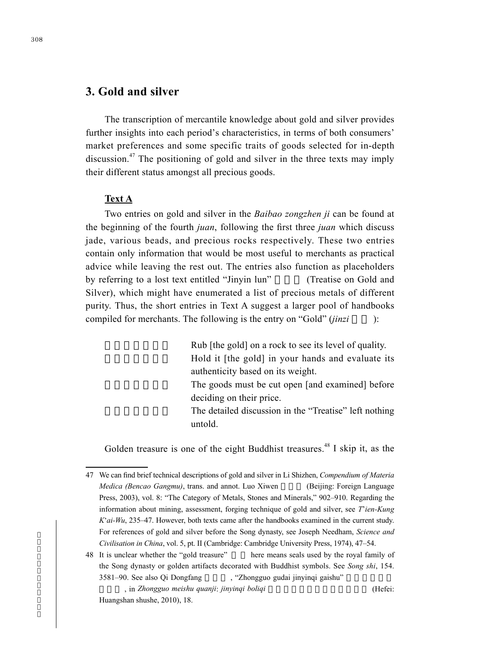# **3. Gold and silver**

The transcription of mercantile knowledge about gold and silver provides further insights into each period's characteristics, in terms of both consumers' market preferences and some specific traits of goods selected for in-depth discussion.47 The positioning of gold and silver in the three texts may imply their different status amongst all precious goods.

#### **Text A**

Two entries on gold and silver in the *Baibao zongzhen ji* can be found at the beginning of the fourth *juan*, following the first three *juan* which discuss jade, various beads, and precious rocks respectively. These two entries contain only information that would be most useful to merchants as practical advice while leaving the rest out. The entries also function as placeholders by referring to a lost text entitled "Jinyin lun" (Treatise on Gold and Silver), which might have enumerated a list of precious metals of different purity. Thus, the short entries in Text A suggest a larger pool of handbooks compiled for merchants. The following is the entry on "Gold" (*jinzi* ):

> Rub [the gold] on a rock to see its level of quality. Hold it [the gold] in your hands and evaluate its authenticity based on its weight. The goods must be cut open [and examined] before deciding on their price. The detailed discussion in the "Treatise" left nothing untold.

Golden treasure is one of the eight Buddhist treasures.<sup>48</sup> I skip it, as the

<sup>47</sup> We can find brief technical descriptions of gold and silver in Li Shizhen, *Compendium of Materia Medica (Bencao Gangmu)*, trans. and annot. Luo Xiwen (Beijing: Foreign Language Press, 2003), vol. 8: "The Category of Metals, Stones and Minerals," 902–910. Regarding the information about mining, assessment, forging technique of gold and silver, see *T*'*ien-Kung K*'*ai-Wu*, 235–47. However, both texts came after the handbooks examined in the current study. For references of gold and silver before the Song dynasty, see Joseph Needham, *Science and Civilisation in China*, vol. 5, pt. II (Cambridge: Cambridge University Press, 1974), 47–54.

<sup>48</sup> It is unclear whether the "gold treasure" here means seals used by the royal family of the Song dynasty or golden artifacts decorated with Buddhist symbols. See *Song shi*, 154. 3581–90. See also Qi Dongfang , "Zhongguo gudai jinyinqi gaishu"

器概述 , in *Zhongguo meishu quanji*: *jinyinqi boliqi* 中國美術全集.金銀器玻璃器 (Hefei: Huangshan shushe, 2010), 18.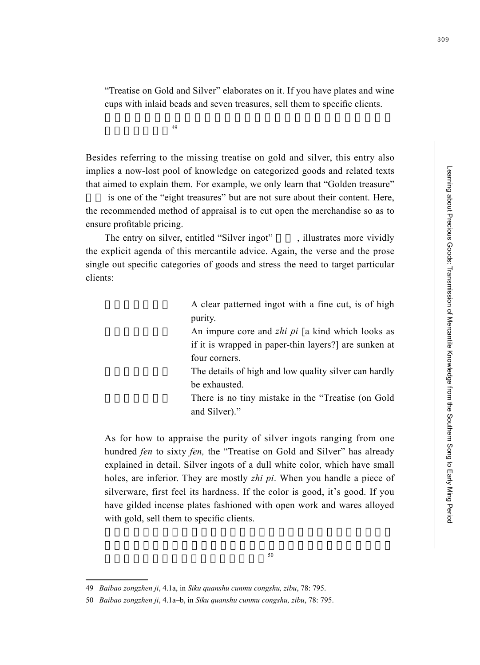"Treatise on Gold and Silver" elaborates on it. If you have plates and wine cups with inlaid beads and seven treasures, sell them to specific clients.

 $49$ 

Besides referring to the missing treatise on gold and silver, this entry also implies a now-lost pool of knowledge on categorized goods and related texts that aimed to explain them. For example, we only learn that "Golden treasure"

is one of the "eight treasures" but are not sure about their content. Here, the recommended method of appraisal is to cut open the merchandise so as to ensure profitable pricing.

The entry on silver, entitled "Silver ingot", illustrates more vividly the explicit agenda of this mercantile advice. Again, the verse and the prose single out specific categories of goods and stress the need to target particular clients:

> A clear patterned ingot with a fine cut, is of high purity.

> An impure core and *zhi pi* [a kind which looks as if it is wrapped in paper-thin layers?] are sunken at four corners.

> The details of high and low quality silver can hardly be exhausted.

> There is no tiny mistake in the "Treatise (on Gold and Silver)."

As for how to appraise the purity of silver ingots ranging from one hundred *fen* to sixty *fen,* the "Treatise on Gold and Silver" has already explained in detail. Silver ingots of a dull white color, which have small holes, are inferior. They are mostly *zhi pi*. When you handle a piece of silverware, first feel its hardness. If the color is good, it's good. If you have gilded incense plates fashioned with open work and wares alloyed with gold, sell them to specific clients.

<sup>49</sup> *Baibao zongzhen ji*, 4.1a, in *Siku quanshu cunmu congshu, zibu*, 78: 795.

<sup>50</sup> *Baibao zongzhen ji*, 4.1a–b, in *Siku quanshu cunmu congshu, zibu*, 78: 795.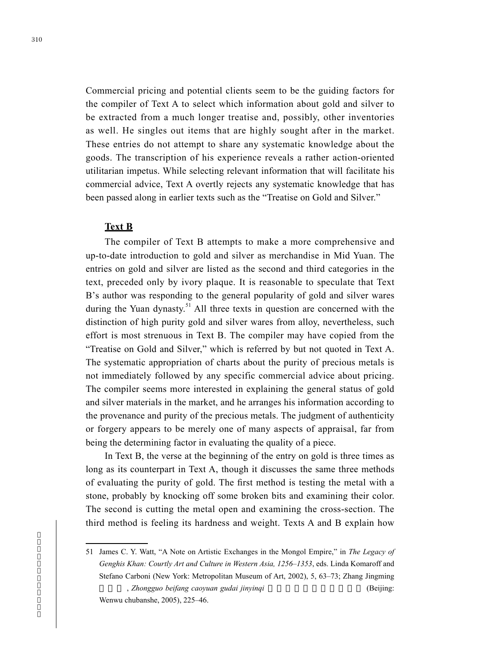Commercial pricing and potential clients seem to be the guiding factors for the compiler of Text A to select which information about gold and silver to be extracted from a much longer treatise and, possibly, other inventories as well. He singles out items that are highly sought after in the market. These entries do not attempt to share any systematic knowledge about the goods. The transcription of his experience reveals a rather action-oriented utilitarian impetus. While selecting relevant information that will facilitate his commercial advice, Text A overtly rejects any systematic knowledge that has been passed along in earlier texts such as the "Treatise on Gold and Silver."

#### **Text B**

The compiler of Text B attempts to make a more comprehensive and up-to-date introduction to gold and silver as merchandise in Mid Yuan. The entries on gold and silver are listed as the second and third categories in the text, preceded only by ivory plaque. It is reasonable to speculate that Text B's author was responding to the general popularity of gold and silver wares during the Yuan dynasty.<sup>51</sup> All three texts in question are concerned with the distinction of high purity gold and silver wares from alloy, nevertheless, such effort is most strenuous in Text B. The compiler may have copied from the "Treatise on Gold and Silver," which is referred by but not quoted in Text A. The systematic appropriation of charts about the purity of precious metals is not immediately followed by any specific commercial advice about pricing. The compiler seems more interested in explaining the general status of gold and silver materials in the market, and he arranges his information according to the provenance and purity of the precious metals. The judgment of authenticity or forgery appears to be merely one of many aspects of appraisal, far from being the determining factor in evaluating the quality of a piece.

In Text B, the verse at the beginning of the entry on gold is three times as long as its counterpart in Text A, though it discusses the same three methods of evaluating the purity of gold. The first method is testing the metal with a stone, probably by knocking off some broken bits and examining their color. The second is cutting the metal open and examining the cross-section. The third method is feeling its hardness and weight. Texts A and B explain how

<sup>51</sup> James C. Y. Watt, "A Note on Artistic Exchanges in the Mongol Empire," in *The Legacy of Genghis Khan: Courtly Art and Culture in Western Asia, 1256–1353*, eds. Linda Komaroff and Stefano Carboni (New York: Metropolitan Museum of Art, 2002), 5, 63–73; Zhang Jingming , *Zhongguo beifang caoyuan gudai jinyinqi* eta eta eta eta erresta (Beijing: Wenwu chubanshe, 2005), 225–46.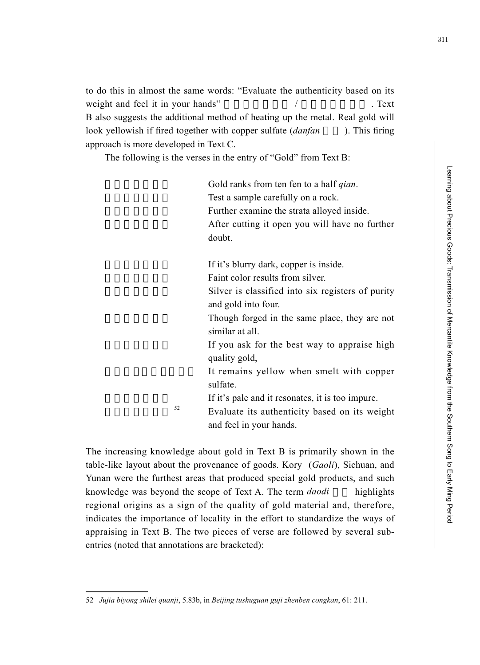to do this in almost the same words: "Evaluate the authenticity based on its weight and feel it in your hands"  $/$  . Text B also suggests the additional method of heating up the metal. Real gold will look yellowish if fired together with copper sulfate *(danfan* ). This firing approach is more developed in Text C.

The following is the verses in the entry of "Gold" from Text B:

Gold ranks from ten fen to a half *qian*. Test a sample carefully on a rock. Further examine the strata alloyed inside. After cutting it open you will have no further doubt. If it's blurry dark, copper is inside.

Faint color results from silver. Silver is classified into six registers of purity and gold into four.

Though forged in the same place, they are not similar at all.

If you ask for the best way to appraise high quality gold,

It remains yellow when smelt with copper sulfate.

If it's pale and it resonates, it is too impure.

Evaluate its authenticity based on its weight and feel in your hands.

The increasing knowledge about gold in Text B is primarily shown in the table-like layout about the provenance of goods. Kory (*Gaoli*), Sichuan, and Yunan were the furthest areas that produced special gold products, and such knowledge was beyond the scope of Text A. The term *daodi* highlights regional origins as a sign of the quality of gold material and, therefore, indicates the importance of locality in the effort to standardize the ways of appraising in Text B. The two pieces of verse are followed by several subentries (noted that annotations are bracketed):

<sup>52</sup> *Jujia biyong shilei quanji*, 5.83b, in *Beijing tushuguan guji zhenben congkan*, 61: 211.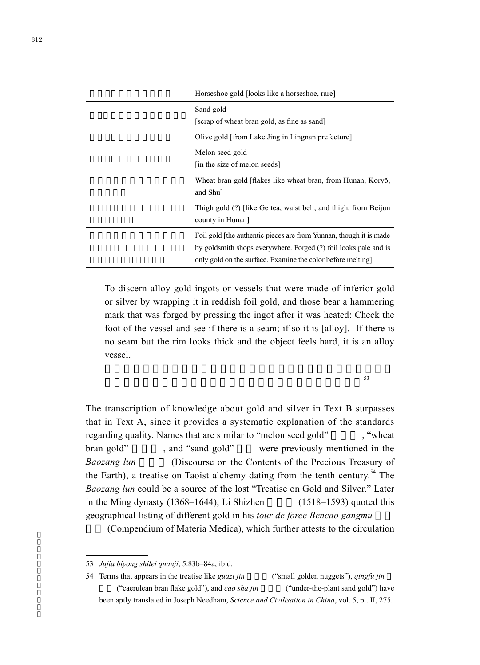| Horseshoe gold [looks like a horseshoe, rare]                                       |
|-------------------------------------------------------------------------------------|
| Sand gold                                                                           |
| [scrap of wheat bran gold, as fine as sand]                                         |
| Olive gold [from Lake Jing in Lingnan prefecture]                                   |
| Melon seed gold                                                                     |
| [in the size of melon seeds]                                                        |
| Wheat bran gold [flakes like wheat bran, from Hunan, Koryŏ,<br>and Shu]             |
| Thigh gold (?) [like Ge tea, waist belt, and thigh, from Beijun<br>county in Hunan] |
| Foil gold [the authentic pieces are from Yunnan, though it is made                  |
| by goldsmith shops everywhere. Forged (?) foil looks pale and is                    |
| only gold on the surface. Examine the color before melting                          |

To discern alloy gold ingots or vessels that were made of inferior gold or silver by wrapping it in reddish foil gold, and those bear a hammering mark that was forged by pressing the ingot after it was heated: Check the foot of the vessel and see if there is a seam; if so it is [alloy]. If there is no seam but the rim looks thick and the object feels hard, it is an alloy vessel.

 $53$ 

The transcription of knowledge about gold and silver in Text B surpasses that in Text A, since it provides a systematic explanation of the standards regarding quality. Names that are similar to "melon seed gold", "wheat bran gold", and "sand gold" were previously mentioned in the *Baozang lun* (Discourse on the Contents of the Precious Treasury of the Earth), a treatise on Taoist alchemy dating from the tenth century.<sup>54</sup> The *Baozang lun* could be a source of the lost "Treatise on Gold and Silver." Later in the Ming dynasty  $(1368-1644)$ , Li Shizhen  $(1518-1593)$  quoted this geographical listing of different gold in his *tour de force Bencao gangmu* 

(Compendium of Materia Medica), which further attests to the circulation

<sup>53</sup> *Jujia biyong shilei quanji*, 5.83b–84a, ibid.

<sup>54</sup> Terms that appears in the treatise like *guazi jin* ("small golden nuggets"), *qingfu jin* ("caerulean bran flake gold"), and *cao sha jin* ("under-the-plant sand gold") have been aptly translated in Joseph Needham, *Science and Civilisation in China*, vol. 5, pt. II, 275.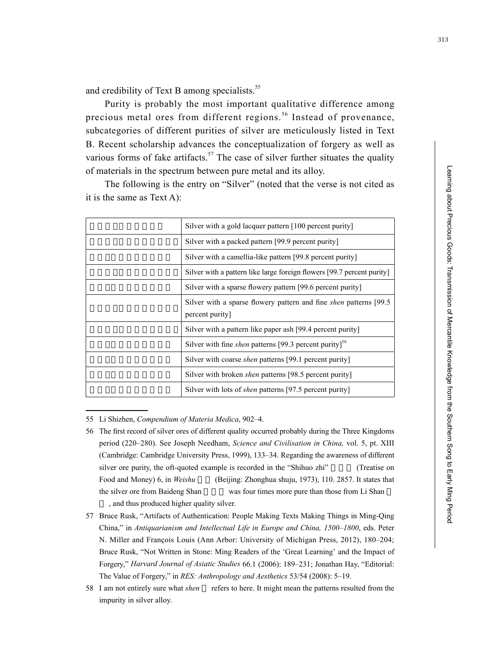Learning about Precious Goods: Transmission of Mercantile Knowledge from the Southern Song to Early Ming Period Learning about Precious Goods: Transmission of Mercantile Knowledge from the Southern Song to Early Ming Period

and credibility of Text B among specialists.<sup>55</sup>

Purity is probably the most important qualitative difference among precious metal ores from different regions.<sup>56</sup> Instead of provenance, subcategories of different purities of silver are meticulously listed in Text B. Recent scholarship advances the conceptualization of forgery as well as various forms of fake artifacts.<sup>57</sup> The case of silver further situates the quality of materials in the spectrum between pure metal and its alloy.

The following is the entry on "Silver" (noted that the verse is not cited as it is the same as Text A):

55 Li Shizhen, *Compendium of Materia Medica*, 902–4.

- 56 The first record of silver ores of different quality occurred probably during the Three Kingdoms period (220–280). See Joseph Needham, *Science and Civilisation in China,* vol. 5, pt. XIII (Cambridge: Cambridge University Press, 1999), 133–34. Regarding the awareness of different silver ore purity, the oft-quoted example is recorded in the "Shihuo zhi" (Treatise on Food and Money) 6, in *Weishu* (Beijing: Zhonghua shuju, 1973), 110. 2857. It states that the silver ore from Baideng Shan was four times more pure than those from Li Shan , and thus produced higher quality silver.
- 57 Bruce Rusk, "Artifacts of Authentication: People Making Texts Making Things in Ming-Qing China," in *Antiquarianism and Intellectual Life in Europe and China, 1500–1800*, eds. Peter N. Miller and François Louis (Ann Arbor: University of Michigan Press, 2012), 180–204; Bruce Rusk, "Not Written in Stone: Ming Readers of the 'Great Learning' and the Impact of Forgery," *Harvard Journal of Asiatic Studies* 66.1 (2006): 189–231; Jonathan Hay, "Editorial: The Value of Forgery," in *RES: Anthropology and Aesthetics* 53/54 (2008): 5–19.
- 58 I am not entirely sure what *shen* refers to here. It might mean the patterns resulted from the impurity in silver alloy.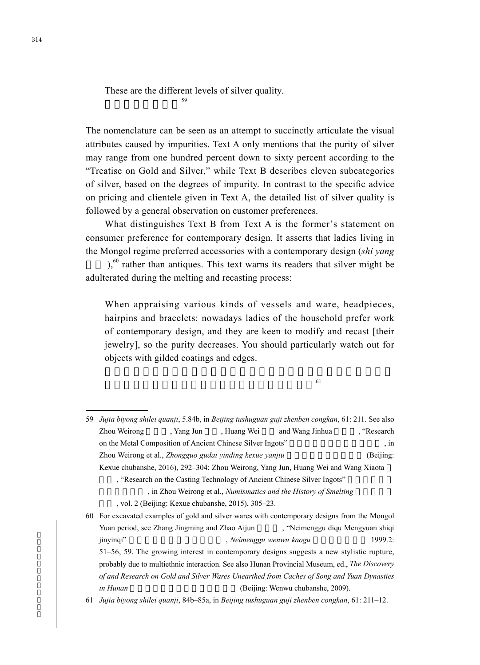These are the different levels of silver quality.

 $59$ 

The nomenclature can be seen as an attempt to succinctly articulate the visual attributes caused by impurities. Text A only mentions that the purity of silver may range from one hundred percent down to sixty percent according to the "Treatise on Gold and Silver," while Text B describes eleven subcategories of silver, based on the degrees of impurity. In contrast to the specific advice on pricing and clientele given in Text A, the detailed list of silver quality is followed by a general observation on customer preferences.

What distinguishes Text B from Text A is the former's statement on consumer preference for contemporary design. It asserts that ladies living in the Mongol regime preferred accessories with a contemporary design (*shi yang* 

 $b<sub>0</sub>$ ,<sup>60</sup> rather than antiques. This text warns its readers that silver might be adulterated during the melting and recasting process:

When appraising various kinds of vessels and ware, headpieces, hairpins and bracelets: nowadays ladies of the household prefer work of contemporary design, and they are keen to modify and recast [their jewelry], so the purity decreases. You should particularly watch out for objects with gilded coatings and edges.

 $61$ 

<sup>59</sup> *Jujia biyong shilei quanji*, 5.84b, in *Beijing tushuguan guji zhenben congkan*, 61: 211. See also Zhou Weirong Amery Amery Amery Amery Amery Amery Amery Amery Amery Amery Amery Amery Amery Amery Amery Amery A on the Metal Composition of Ancient Chinese Silver Ingots", in Zhou Weirong et al., *Zhongguo gudai yinding kexue yanjiu* (Beijing: Kexue chubanshe, 2016), 292–304; Zhou Weirong, Yang Jun, Huang Wei and Wang Xiaota , "Research on the Casting Technology of Ancient Chinese Silver Ingots" , in Zhou Weirong et al., *Numismatics and the History of Smelting* 

<sup>,</sup> vol. 2 (Beijing: Kexue chubanshe, 2015), 305-23.

<sup>60</sup> For excavated examples of gold and silver wares with contemporary designs from the Mongol Yuan period, see Zhang Jingming and Zhao Aijun , "Neimenggu diqu Mengyuan shiqi jinyinqi" **haqaalaa kabaada karabaa , xadda wenwu ka**ogu haqaa 1999.2: 51–56, 59. The growing interest in contemporary designs suggests a new stylistic rupture, probably due to multiethnic interaction. See also Hunan Provincial Museum, ed., *The Discovery of and Research on Gold and Silver Wares Unearthed from Caches of Song and Yuan Dynasties in Hunan* (Beijing: Wenwu chubanshe, 2009).

<sup>61</sup> *Jujia biyong shilei quanji*, 84b–85a, in *Beijing tushuguan guji zhenben congkan*, 61: 211–12.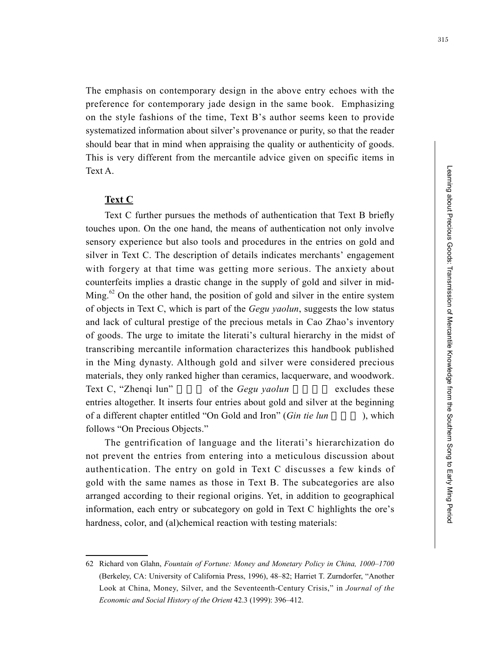The emphasis on contemporary design in the above entry echoes with the preference for contemporary jade design in the same book. Emphasizing on the style fashions of the time, Text B's author seems keen to provide systematized information about silver's provenance or purity, so that the reader should bear that in mind when appraising the quality or authenticity of goods. This is very different from the mercantile advice given on specific items in Text A.

#### **Text C**

Text C further pursues the methods of authentication that Text B briefly touches upon. On the one hand, the means of authentication not only involve sensory experience but also tools and procedures in the entries on gold and silver in Text C. The description of details indicates merchants' engagement with forgery at that time was getting more serious. The anxiety about counterfeits implies a drastic change in the supply of gold and silver in mid-Ming.<sup>62</sup> On the other hand, the position of gold and silver in the entire system of objects in Text C, which is part of the *Gegu yaolun*, suggests the low status and lack of cultural prestige of the precious metals in Cao Zhao's inventory of goods. The urge to imitate the literati's cultural hierarchy in the midst of transcribing mercantile information characterizes this handbook published in the Ming dynasty. Although gold and silver were considered precious materials, they only ranked higher than ceramics, lacquerware, and woodwork. Text C, "Zhengi lun" of the *Gegu yaolun* excludes these entries altogether. It inserts four entries about gold and silver at the beginning of a different chapter entitled "On Gold and Iron" (*Gin tie lun* ), which follows "On Precious Objects."

The gentrification of language and the literati's hierarchization do not prevent the entries from entering into a meticulous discussion about authentication. The entry on gold in Text C discusses a few kinds of gold with the same names as those in Text B. The subcategories are also arranged according to their regional origins. Yet, in addition to geographical information, each entry or subcategory on gold in Text C highlights the ore's hardness, color, and (al)chemical reaction with testing materials:

<sup>62</sup> Richard von Glahn, *Fountain of Fortune: Money and Monetary Policy in China, 1000–1700* (Berkeley, CA: University of California Press, 1996), 48–82; Harriet T. Zurndorfer, "Another Look at China, Money, Silver, and the Seventeenth-Century Crisis," in *Journal of the Economic and Social History of the Orient* 42.3 (1999): 396–412.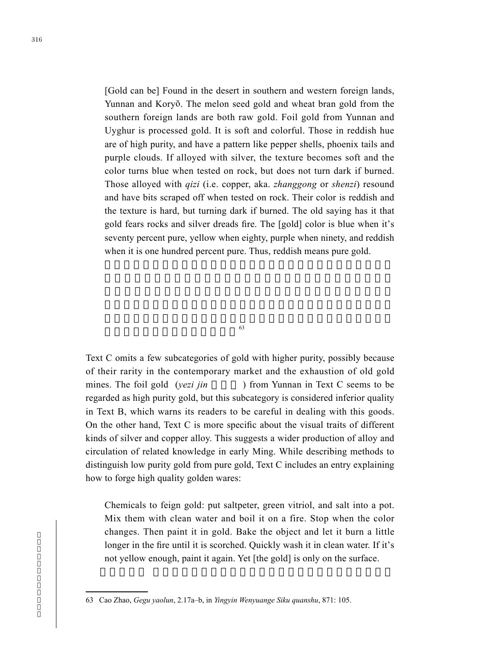[Gold can be] Found in the desert in southern and western foreign lands, Yunnan and Koryŏ. The melon seed gold and wheat bran gold from the southern foreign lands are both raw gold. Foil gold from Yunnan and Uyghur is processed gold. It is soft and colorful. Those in reddish hue are of high purity, and have a pattern like pepper shells, phoenix tails and purple clouds. If alloyed with silver, the texture becomes soft and the color turns blue when tested on rock, but does not turn dark if burned. Those alloyed with *qizi* (i.e. copper, aka. *zhanggong* or *shenzi*) resound and have bits scraped off when tested on rock. Their color is reddish and the texture is hard, but turning dark if burned. The old saying has it that gold fears rocks and silver dreads fire. The [gold] color is blue when it's seventy percent pure, yellow when eighty, purple when ninety, and reddish when it is one hundred percent pure. Thus, reddish means pure gold.

 $\sim$ 

Text C omits a few subcategories of gold with higher purity, possibly because of their rarity in the contemporary market and the exhaustion of old gold mines. The foil gold (*yezi jin* ) from Yunnan in Text C seems to be regarded as high purity gold, but this subcategory is considered inferior quality in Text B, which warns its readers to be careful in dealing with this goods. On the other hand, Text C is more specific about the visual traits of different kinds of silver and copper alloy. This suggests a wider production of alloy and circulation of related knowledge in early Ming. While describing methods to distinguish low purity gold from pure gold, Text C includes an entry explaining how to forge high quality golden wares:

Chemicals to feign gold: put saltpeter, green vitriol, and salt into a pot. Mix them with clean water and boil it on a fire. Stop when the color changes. Then paint it in gold. Bake the object and let it burn a little longer in the fire until it is scorched. Quickly wash it in clean water. If it's not yellow enough, paint it again. Yet [the gold] is only on the surface.

<sup>63</sup> Cao Zhao, *Gegu yaolun*, 2.17a–b, in *Yingyin Wenyuange Siku quanshu*, 871: 105.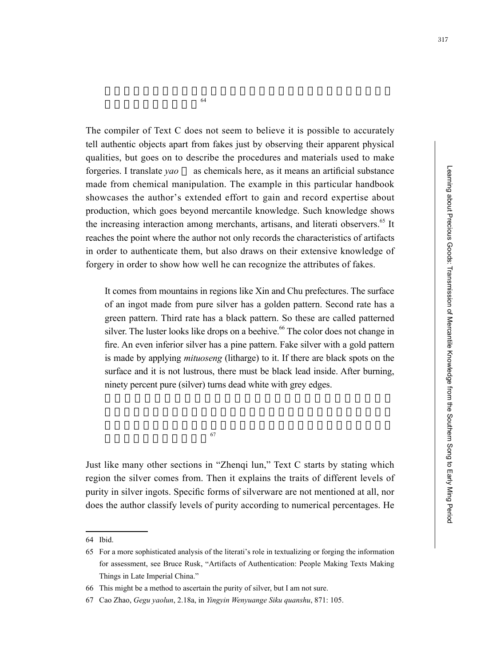$\sim$  64

The compiler of Text C does not seem to believe it is possible to accurately tell authentic objects apart from fakes just by observing their apparent physical qualities, but goes on to describe the procedures and materials used to make forgeries. I translate *yao* as chemicals here, as it means an artificial substance made from chemical manipulation. The example in this particular handbook showcases the author's extended effort to gain and record expertise about production, which goes beyond mercantile knowledge. Such knowledge shows the increasing interaction among merchants, artisans, and literati observers.<sup>65</sup> It reaches the point where the author not only records the characteristics of artifacts in order to authenticate them, but also draws on their extensive knowledge of forgery in order to show how well he can recognize the attributes of fakes.

It comes from mountains in regions like Xin and Chu prefectures. The surface of an ingot made from pure silver has a golden pattern. Second rate has a green pattern. Third rate has a black pattern. So these are called patterned silver. The luster looks like drops on a beehive.<sup>66</sup> The color does not change in fire. An even inferior silver has a pine pattern. Fake silver with a gold pattern is made by applying *mituoseng* (litharge) to it. If there are black spots on the surface and it is not lustrous, there must be black lead inside. After burning, ninety percent pure (silver) turns dead white with grey edges.

 $\sim$ 

Just like many other sections in "Zhenqi lun," Text C starts by stating which region the silver comes from. Then it explains the traits of different levels of purity in silver ingots. Specific forms of silverware are not mentioned at all, nor does the author classify levels of purity according to numerical percentages. He

<sup>64</sup> Ibid.

<sup>65</sup> For a more sophisticated analysis of the literati's role in textualizing or forging the information for assessment, see Bruce Rusk, "Artifacts of Authentication: People Making Texts Making Things in Late Imperial China."

<sup>66</sup> This might be a method to ascertain the purity of silver, but I am not sure.

<sup>67</sup> Cao Zhao, *Gegu yaolun*, 2.18a, in *Yingyin Wenyuange Siku quanshu*, 871: 105.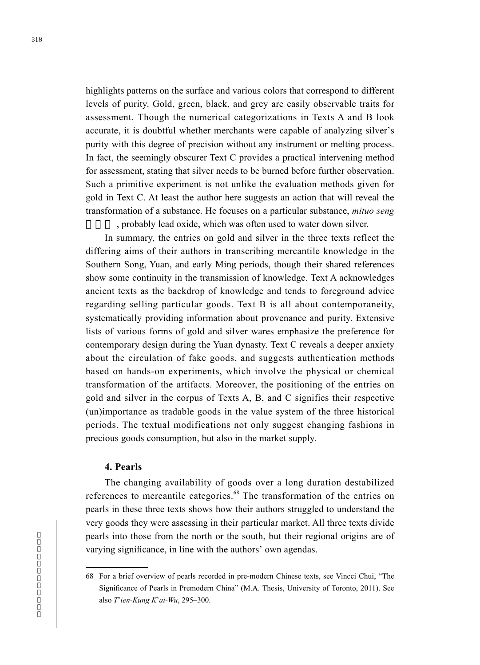highlights patterns on the surface and various colors that correspond to different levels of purity. Gold, green, black, and grey are easily observable traits for assessment. Though the numerical categorizations in Texts A and B look accurate, it is doubtful whether merchants were capable of analyzing silver's purity with this degree of precision without any instrument or melting process. In fact, the seemingly obscurer Text C provides a practical intervening method for assessment, stating that silver needs to be burned before further observation. Such a primitive experiment is not unlike the evaluation methods given for gold in Text C. At least the author here suggests an action that will reveal the transformation of a substance. He focuses on a particular substance, *mituo seng* , probably lead oxide, which was often used to water down silver.

In summary, the entries on gold and silver in the three texts reflect the differing aims of their authors in transcribing mercantile knowledge in the Southern Song, Yuan, and early Ming periods, though their shared references show some continuity in the transmission of knowledge. Text A acknowledges ancient texts as the backdrop of knowledge and tends to foreground advice regarding selling particular goods. Text B is all about contemporaneity, systematically providing information about provenance and purity. Extensive lists of various forms of gold and silver wares emphasize the preference for contemporary design during the Yuan dynasty. Text C reveals a deeper anxiety about the circulation of fake goods, and suggests authentication methods based on hands-on experiments, which involve the physical or chemical transformation of the artifacts. Moreover, the positioning of the entries on gold and silver in the corpus of Texts A, B, and C signifies their respective (un)importance as tradable goods in the value system of the three historical periods. The textual modifications not only suggest changing fashions in precious goods consumption, but also in the market supply.

#### **4. Pearls**

The changing availability of goods over a long duration destabilized references to mercantile categories.<sup>68</sup> The transformation of the entries on pearls in these three texts shows how their authors struggled to understand the very goods they were assessing in their particular market. All three texts divide pearls into those from the north or the south, but their regional origins are of varying significance, in line with the authors' own agendas.

<sup>68</sup> For a brief overview of pearls recorded in pre-modern Chinese texts, see Vincci Chui, "The Significance of Pearls in Premodern China" (M.A. Thesis, University of Toronto, 2011). See also *T*'*ien-Kung K*'*ai-Wu*, 295–300.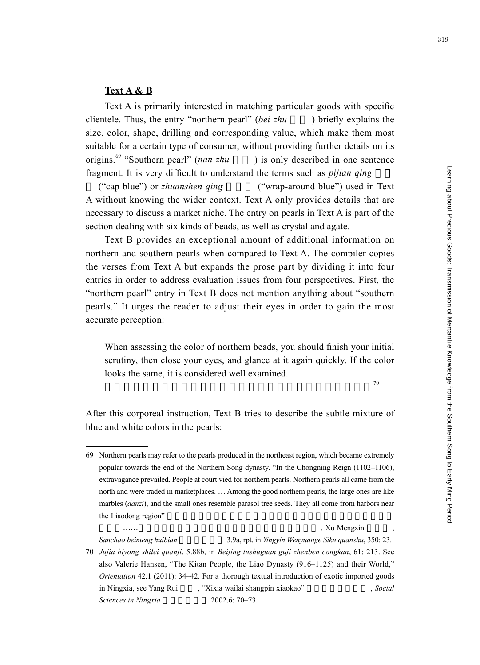#### **Text A & B**

Text A is primarily interested in matching particular goods with specific clientele. Thus, the entry "northern pearl" (*bei zhu* ) briefly explains the size, color, shape, drilling and corresponding value, which make them most suitable for a certain type of consumer, without providing further details on its origins.<sup>69</sup> "Southern pearl" (*nan zhu* ) is only described in one sentence fragment. It is very difficult to understand the terms such as *pijian qing* 

("cap blue") or *zhuanshen qing* ("wrap-around blue") used in Text A without knowing the wider context. Text A only provides details that are necessary to discuss a market niche. The entry on pearls in Text A is part of the section dealing with six kinds of beads, as well as crystal and agate.

Text B provides an exceptional amount of additional information on northern and southern pearls when compared to Text A. The compiler copies the verses from Text A but expands the prose part by dividing it into four entries in order to address evaluation issues from four perspectives. First, the "northern pearl" entry in Text B does not mention anything about "southern pearls." It urges the reader to adjust their eyes in order to gain the most accurate perception:

When assessing the color of northern beads, you should finish your initial scrutiny, then close your eyes, and glance at it again quickly. If the color looks the same, it is considered well examined.

 $70$ 

After this corporeal instruction, Text B tries to describe the subtle mixture of blue and white colors in the pearls:

相貿易……北珠美,大如彈子,小若梧子,皆出遼東海中 . Xu Mengxin 徐夢莘 ,

*Sanchao beimeng huibian* 三朝北盟會編 3.9a, rpt. in *Yingyin Wenyuange Siku quanshu*, 350: 23.

70 *Jujia biyong shilei quanji*, 5.88b, in *Beijing tushuguan guji zhenben congkan*, 61: 213. See also Valerie Hansen, "The Kitan People, the Liao Dynasty (916–1125) and their World," *Orientation* 42.1 (2011): 34–42. For a thorough textual introduction of exotic imported goods in Ningxia, see Yang Rui (Xixia wailai shangpin xiaokao" , *Social* , *Social Sciences in Ningxia* 2002.6: 70–73.

<sup>69</sup> Northern pearls may refer to the pearls produced in the northeast region, which became extremely popular towards the end of the Northern Song dynasty. "In the Chongning Reign (1102–1106), extravagance prevailed. People at court vied for northern pearls. Northern pearls all came from the north and were traded in marketplaces. … Among the good northern pearls, the large ones are like marbles (*danzi*), and the small ones resemble parasol tree seeds. They all come from harbors near the Liaodong region"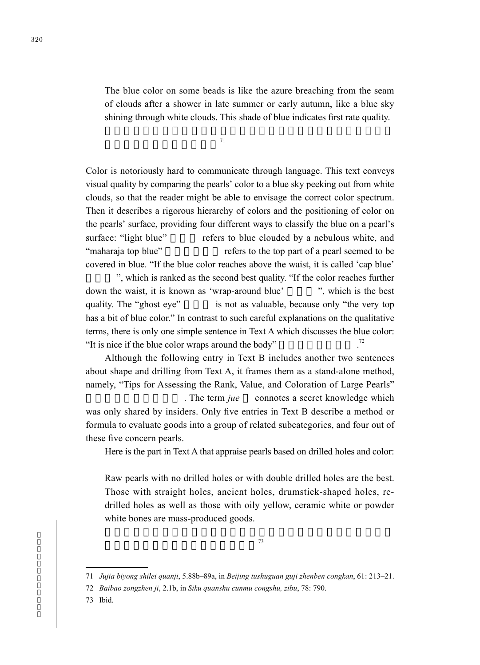The blue color on some beads is like the azure breaching from the seam of clouds after a shower in late summer or early autumn, like a blue sky shining through white clouds. This shade of blue indicates first rate quality.

 $71$ 

Color is notoriously hard to communicate through language. This text conveys visual quality by comparing the pearls' color to a blue sky peeking out from white clouds, so that the reader might be able to envisage the correct color spectrum. Then it describes a rigorous hierarchy of colors and the positioning of color on the pearls' surface, providing four different ways to classify the blue on a pearl's surface: "light blue" refers to blue clouded by a nebulous white, and "maharaja top blue" refers to the top part of a pearl seemed to be covered in blue. "If the blue color reaches above the waist, it is called 'cap blue'

", which is ranked as the second best quality. "If the color reaches further down the waist, it is known as 'wrap-around blue' ", which is the best quality. The "ghost eye" is not as valuable, because only "the very top has a bit of blue color." In contrast to such careful explanations on the qualitative terms, there is only one simple sentence in Text A which discusses the blue color: "It is nice if the blue color wraps around the body" 72

Although the following entry in Text B includes another two sentences about shape and drilling from Text A, it frames them as a stand-alone method, namely, "Tips for Assessing the Rank, Value, and Coloration of Large Pearls" . The term *jue* connotes a secret knowledge which was only shared by insiders. Only five entries in Text B describe a method or formula to evaluate goods into a group of related subcategories, and four out of these five concern pearls.

Here is the part in Text A that appraise pearls based on drilled holes and color:

Raw pearls with no drilled holes or with double drilled holes are the best. Those with straight holes, ancient holes, drumstick-shaped holes, redrilled holes as well as those with oily yellow, ceramic white or powder white bones are mass-produced goods.

<sup>71</sup> *Jujia biyong shilei quanji*, 5.88b–89a, in *Beijing tushuguan guji zhenben congkan*, 61: 213–21.

<sup>72</sup> *Baibao zongzhen ji*, 2.1b, in *Siku quanshu cunmu congshu, zibu*, 78: 790.

<sup>73</sup> Ibid.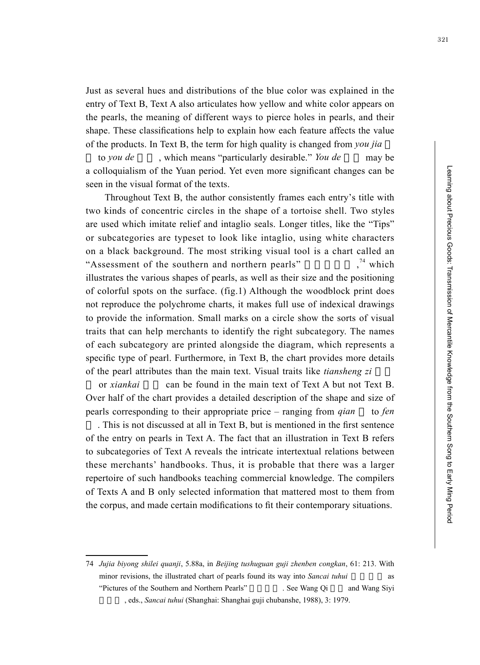Learning about Precious Goods: Transmission of Mercantile Knowledge from the Southern Song to Early Ming Period Learning about Precious Goods: Transmission of Mercantile Knowledge from the Southern Song to Early Ming Period

Just as several hues and distributions of the blue color was explained in the entry of Text B, Text A also articulates how yellow and white color appears on the pearls, the meaning of different ways to pierce holes in pearls, and their shape. These classifications help to explain how each feature affects the value of the products. In Text B, the term for high quality is changed from *you jia*

to *you de* , which means "particularly desirable." *You de* may be a colloquialism of the Yuan period. Yet even more significant changes can be seen in the visual format of the texts.

Throughout Text B, the author consistently frames each entry's title with two kinds of concentric circles in the shape of a tortoise shell. Two styles are used which imitate relief and intaglio seals. Longer titles, like the "Tips" or subcategories are typeset to look like intaglio, using white characters on a black background. The most striking visual tool is a chart called an "Assessment of the southern and northern pearls" .<sup>74</sup> which illustrates the various shapes of pearls, as well as their size and the positioning of colorful spots on the surface. (fig.1) Although the woodblock print does not reproduce the polychrome charts, it makes full use of indexical drawings to provide the information. Small marks on a circle show the sorts of visual traits that can help merchants to identify the right subcategory. The names of each subcategory are printed alongside the diagram, which represents a specific type of pearl. Furthermore, in Text B, the chart provides more details of the pearl attributes than the main text. Visual traits like *tiansheng zi* 

or *xiankai* can be found in the main text of Text A but not Text B. Over half of the chart provides a detailed description of the shape and size of pearls corresponding to their appropriate price – ranging from *qian* to *fen* . This is not discussed at all in Text B, but is mentioned in the first sentence of the entry on pearls in Text A. The fact that an illustration in Text B refers to subcategories of Text A reveals the intricate intertextual relations between these merchants' handbooks. Thus, it is probable that there was a larger repertoire of such handbooks teaching commercial knowledge. The compilers of Texts A and B only selected information that mattered most to them from the corpus, and made certain modifications to fit their contemporary situations.

<sup>74</sup> *Jujia biyong shilei quanji*, 5.88a, in *Beijing tushuguan guji zhenben congkan*, 61: 213. With minor revisions, the illustrated chart of pearls found its way into *Sancai tuhui* "Pictures of the Southern and Northern Pearls" . See Wang Qi and Wang Siyi , eds., *Sancai tuhui* (Shanghai: Shanghai guji chubanshe, 1988), 3: 1979.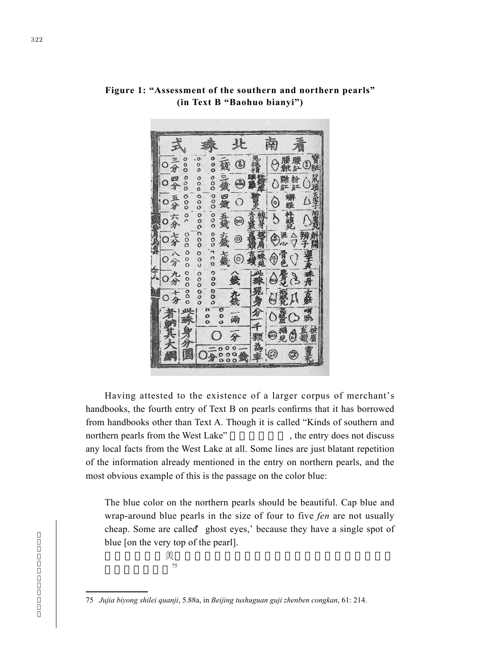

**Figure 1: "Assessment of the southern and northern pearls" (in Text B "Baohuo bianyi")**

Having attested to the existence of a larger corpus of merchant's handbooks, the fourth entry of Text B on pearls confirms that it has borrowed from handbooks other than Text A. Though it is called "Kinds of southern and northern pearls from the West Lake", the entry does not discuss any local facts from the West Lake at all. Some lines are just blatant repetition of the information already mentioned in the entry on northern pearls, and the most obvious example of this is the passage on the color blue:

The blue color on the northern pearls should be beautiful. Cap blue and wrap-around blue pearls in the size of four to five *fen* are not usually cheap. Some are called 'ghost eyes,' because they have a single spot of blue [on the very top of the pearl].

$$
\tilde{\mathcal{F}}_{75}
$$

<sup>75</sup> *Jujia biyong shilei quanji*, 5.88a, in *Beijing tushuguan guji zhenben congkan*, 61: 214.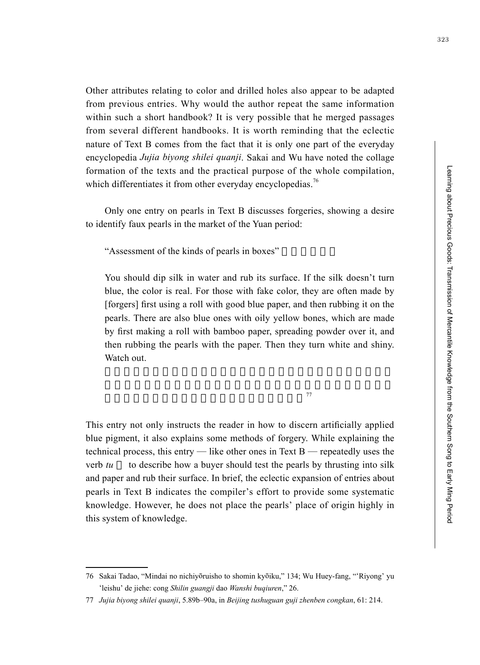Learning about Precious Goods: Transmission of Mercantile Knowledge from the Southern Song to Early Ming Period Learning about Precious Goods: Transmission of Mercantile Knowledge from the Southern Song to Early Ming Period

Other attributes relating to color and drilled holes also appear to be adapted from previous entries. Why would the author repeat the same information within such a short handbook? It is very possible that he merged passages from several different handbooks. It is worth reminding that the eclectic nature of Text B comes from the fact that it is only one part of the everyday encyclopedia *Jujia biyong shilei quanji*. Sakai and Wu have noted the collage formation of the texts and the practical purpose of the whole compilation, which differentiates it from other everyday encyclopedias.<sup>76</sup>

Only one entry on pearls in Text B discusses forgeries, showing a desire to identify faux pearls in the market of the Yuan period:

"Assessment of the kinds of pearls in boxes"

You should dip silk in water and rub its surface. If the silk doesn't turn blue, the color is real. For those with fake color, they are often made by [forgers] first using a roll with good blue paper, and then rubbing it on the pearls. There are also blue ones with oily yellow bones, which are made by first making a roll with bamboo paper, spreading powder over it, and then rubbing the pearls with the paper. Then they turn white and shiny. Watch out.

兒,韶粉在內,突其珠子,粉白精神,仔細矣。<sup>77</sup>

This entry not only instructs the reader in how to discern artificially applied blue pigment, it also explains some methods of forgery. While explaining the technical process, this entry — like other ones in Text B — repeatedly uses the verb *tu* to describe how a buyer should test the pearls by thrusting into silk and paper and rub their surface. In brief, the eclectic expansion of entries about pearls in Text B indicates the compiler's effort to provide some systematic knowledge. However, he does not place the pearls' place of origin highly in this system of knowledge.

<sup>76</sup> Sakai Tadao, "Mindai no nichiyōruisho to shomin kyōiku," 134; Wu Huey-fang, "'Riyong' yu 'leishu' de jiehe: cong *Shilin guangji* dao *Wanshi buqiuren*," 26.

<sup>77</sup> *Jujia biyong shilei quanji*, 5.89b–90a, in *Beijing tushuguan guji zhenben congkan*, 61: 214.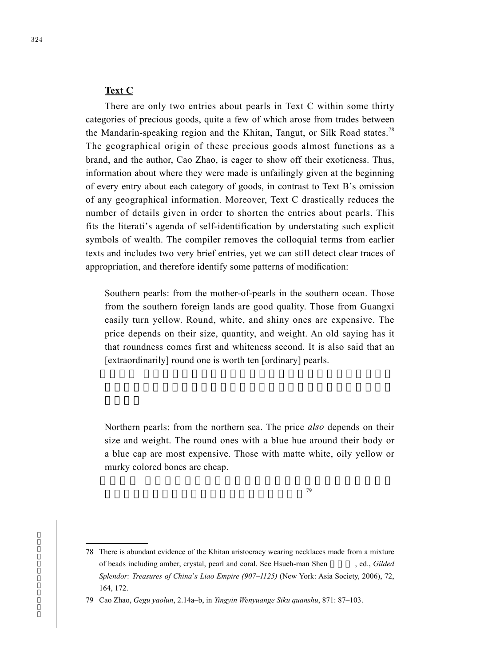#### **Text C**

There are only two entries about pearls in Text C within some thirty categories of precious goods, quite a few of which arose from trades between the Mandarin-speaking region and the Khitan, Tangut, or Silk Road states.<sup>78</sup> The geographical origin of these precious goods almost functions as a brand, and the author, Cao Zhao, is eager to show off their exoticness. Thus, information about where they were made is unfailingly given at the beginning of every entry about each category of goods, in contrast to Text B's omission of any geographical information. Moreover, Text C drastically reduces the number of details given in order to shorten the entries about pearls. This fits the literati's agenda of self-identification by understating such explicit symbols of wealth. The compiler removes the colloquial terms from earlier texts and includes two very brief entries, yet we can still detect clear traces of appropriation, and therefore identify some patterns of modification:

Southern pearls: from the mother-of-pearls in the southern ocean. Those from the southern foreign lands are good quality. Those from Guangxi easily turn yellow. Round, white, and shiny ones are expensive. The price depends on their size, quantity, and weight. An old saying has it that roundness comes first and whiteness second. It is also said that an [extraordinarily] round one is worth ten [ordinary] pearls.

Northern pearls: from the northern sea. The price *also* depends on their size and weight. The round ones with a blue hue around their body or a blue cap are most expensive. Those with matte white, oily yellow or murky colored bones are cheap.

 $79<sup>°</sup>$ 

<sup>78</sup> There is abundant evidence of the Khitan aristocracy wearing necklaces made from a mixture of beads including amber, crystal, pearl and coral. See Hsueh-man Shen 沈雪曼 , ed., *Gilded Splendor: Treasures of China*'*s Liao Empire (907–1125)* (New York: Asia Society, 2006), 72, 164, 172.

<sup>79</sup> Cao Zhao, *Gegu yaolun*, 2.14a–b, in *Yingyin Wenyuange Siku quanshu*, 871: 87–103.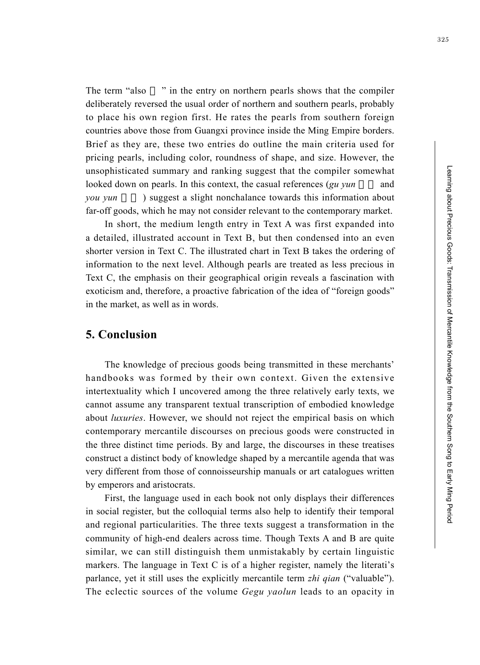Learning about Precious Goods: Transmission of Mercantile Knowledge from the Southern Song to Early Ming Period Learning about Precious Goods: Transmission of Mercantile Knowledge from the Southern Song to Early Ming Period

325

The term "also " in the entry on northern pearls shows that the compiler deliberately reversed the usual order of northern and southern pearls, probably to place his own region first. He rates the pearls from southern foreign countries above those from Guangxi province inside the Ming Empire borders. Brief as they are, these two entries do outline the main criteria used for pricing pearls, including color, roundness of shape, and size. However, the unsophisticated summary and ranking suggest that the compiler somewhat looked down on pearls. In this context, the casual references (*gu yun* and *you yun* ) suggest a slight nonchalance towards this information about far-off goods, which he may not consider relevant to the contemporary market.

In short, the medium length entry in Text A was first expanded into a detailed, illustrated account in Text B, but then condensed into an even shorter version in Text C. The illustrated chart in Text B takes the ordering of information to the next level. Although pearls are treated as less precious in Text C, the emphasis on their geographical origin reveals a fascination with exoticism and, therefore, a proactive fabrication of the idea of "foreign goods" in the market, as well as in words.

#### **5. Conclusion**

The knowledge of precious goods being transmitted in these merchants' handbooks was formed by their own context. Given the extensive intertextuality which I uncovered among the three relatively early texts, we cannot assume any transparent textual transcription of embodied knowledge about *luxuries*. However, we should not reject the empirical basis on which contemporary mercantile discourses on precious goods were constructed in the three distinct time periods. By and large, the discourses in these treatises construct a distinct body of knowledge shaped by a mercantile agenda that was very different from those of connoisseurship manuals or art catalogues written by emperors and aristocrats.

First, the language used in each book not only displays their differences in social register, but the colloquial terms also help to identify their temporal and regional particularities. The three texts suggest a transformation in the community of high-end dealers across time. Though Texts A and B are quite similar, we can still distinguish them unmistakably by certain linguistic markers. The language in Text C is of a higher register, namely the literati's parlance, yet it still uses the explicitly mercantile term *zhi qian* ("valuable"). The eclectic sources of the volume *Gegu yaolun* leads to an opacity in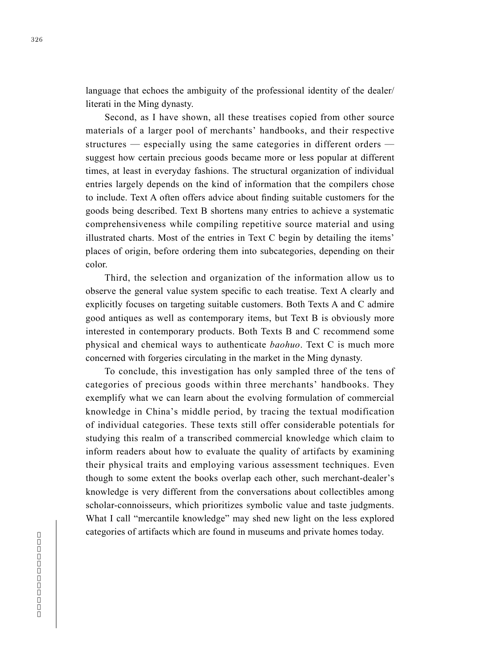language that echoes the ambiguity of the professional identity of the dealer/ literati in the Ming dynasty.

Second, as I have shown, all these treatises copied from other source materials of a larger pool of merchants' handbooks, and their respective structures — especially using the same categories in different orders suggest how certain precious goods became more or less popular at different times, at least in everyday fashions. The structural organization of individual entries largely depends on the kind of information that the compilers chose to include. Text A often offers advice about finding suitable customers for the goods being described. Text B shortens many entries to achieve a systematic comprehensiveness while compiling repetitive source material and using illustrated charts. Most of the entries in Text C begin by detailing the items' places of origin, before ordering them into subcategories, depending on their color.

Third, the selection and organization of the information allow us to observe the general value system specific to each treatise. Text A clearly and explicitly focuses on targeting suitable customers. Both Texts A and C admire good antiques as well as contemporary items, but Text B is obviously more interested in contemporary products. Both Texts B and C recommend some physical and chemical ways to authenticate *baohuo*. Text C is much more concerned with forgeries circulating in the market in the Ming dynasty.

To conclude, this investigation has only sampled three of the tens of categories of precious goods within three merchants' handbooks. They exemplify what we can learn about the evolving formulation of commercial knowledge in China's middle period, by tracing the textual modification of individual categories. These texts still offer considerable potentials for studying this realm of a transcribed commercial knowledge which claim to inform readers about how to evaluate the quality of artifacts by examining their physical traits and employing various assessment techniques. Even though to some extent the books overlap each other, such merchant-dealer's knowledge is very different from the conversations about collectibles among scholar-connoisseurs, which prioritizes symbolic value and taste judgments. What I call "mercantile knowledge" may shed new light on the less explored categories of artifacts which are found in museums and private homes today.